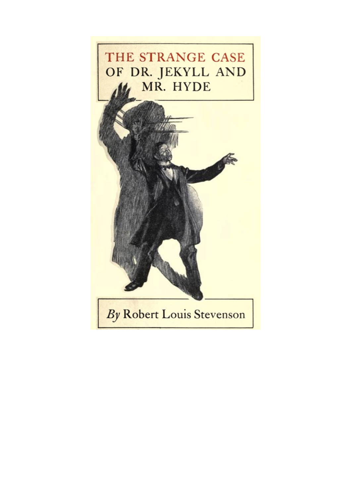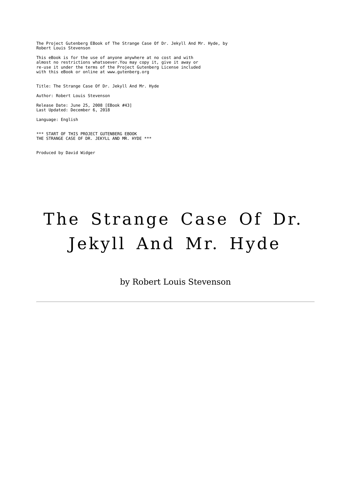The Project Gutenberg EBook of The Strange Case Of Dr. Jekyll And Mr. Hyde, by Robert Louis Stevenson

This eBook is for the use of anyone anywhere at no cost and with almost no restrictions whatsoever.You may copy it, give it away or re-use it under the terms of the Project Gutenberg License included with this eBook or online at www.gutenberg.org

Title: The Strange Case Of Dr. Jekyll And Mr. Hyde

Author: Robert Louis Stevenson

Release Date: June 25, 2008 [EBook #43] Last Updated: December 6, 2018

Language: English

\*\*\* START OF THIS PROJECT GUTENBERG EBOOK THE STRANGE CASE OF DR. JEKYLL AND MR. HYDE \*\*\*

Produced by David Widger

# The Strange Case Of Dr. Jekyll And Mr. Hyde

by Robert Louis Stevenson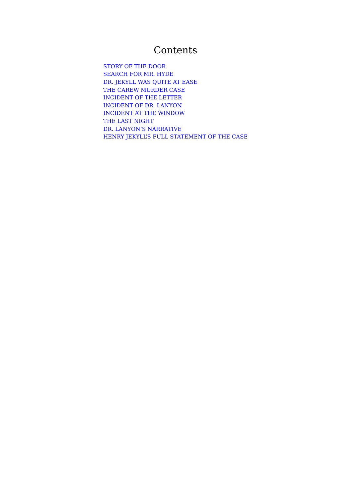# **Contents**

STORY OF THE DOOR SEARCH FOR MR. HYDE DR. JEKYLL WAS QUITE AT EASE THE CAREW MURDER CASE INCIDENT OF THE LETTER INCIDENT OF DR. LANYON INCIDENT AT THE WINDOW THE LAST NIGHT DR. LANYON'S NARRATIVE HENRY JEKYLL'S FULL STATEMENT OF THE CASE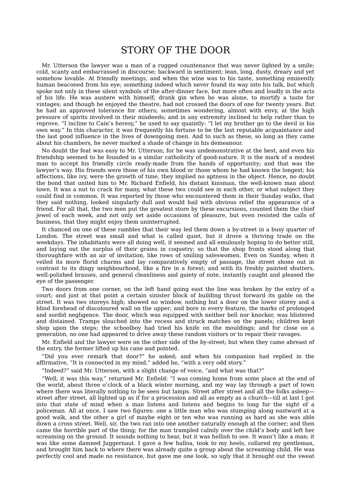# STORY OF THE DOOR

Mr. Utterson the lawyer was a man of a rugged countenance that was never lighted by a smile; cold, scanty and embarrassed in discourse; backward in sentiment; lean, long, dusty, dreary and yet somehow lovable. At friendly meetings, and when the wine was to his taste, something eminently human beaconed from his eye; something indeed which never found its way into his talk, but which spoke not only in these silent symbols of the after-dinner face, but more often and loudly in the acts of his life. He was austere with himself; drank gin when he was alone, to mortify a taste for vintages; and though he enjoyed the theatre, had not crossed the doors of one for twenty years. But he had an approved tolerance for others; sometimes wondering, almost with envy, at the high pressure of spirits involved in their misdeeds; and in any extremity inclined to help rather than to reprove. "I incline to Cain's heresy," he used to say quaintly: "I let my brother go to the devil in his own way." In this character, it was frequently his fortune to be the last reputable acquaintance and the last good influence in the lives of downgoing men. And to such as these, so long as they came about his chambers, he never marked a shade of change in his demeanour.

No doubt the feat was easy to Mr. Utterson; for he was undemonstrative at the best, and even his friendship seemed to be founded in a similar catholicity of good-nature. It is the mark of a modest man to accept his friendly circle ready-made from the hands of opportunity; and that was the lawyer's way. His friends were those of his own blood or those whom he had known the longest; his affections, like ivy, were the growth of time, they implied no aptness in the object. Hence, no doubt the bond that united him to Mr. Richard Enfield, his distant kinsman, the well-known man about town. It was a nut to crack for many, what these two could see in each other, or what subject they could find in common. It was reported by those who encountered them in their Sunday walks, that they said nothing, looked singularly dull and would hail with obvious relief the appearance of a friend. For all that, the two men put the greatest store by these excursions, counted them the chief jewel of each week, and not only set aside occasions of pleasure, but even resisted the calls of business, that they might enjoy them uninterrupted.

It chanced on one of these rambles that their way led them down a by-street in a busy quarter of London. The street was small and what is called quiet, but it drove a thriving trade on the weekdays. The inhabitants were all doing well, it seemed and all emulously hoping to do better still, and laying out the surplus of their grains in coquetry; so that the shop fronts stood along that thoroughfare with an air of invitation, like rows of smiling saleswomen. Even on Sunday, when it veiled its more florid charms and lay comparatively empty of passage, the street shone out in contrast to its dingy neighbourhood, like a fire in a forest; and with its freshly painted shutters, well-polished brasses, and general cleanliness and gaiety of note, instantly caught and pleased the eye of the passenger.

Two doors from one corner, on the left hand going east the line was broken by the entry of a court; and just at that point a certain sinister block of building thrust forward its gable on the street. It was two storeys high; showed no window, nothing but a door on the lower storey and a blind forehead of discoloured wall on the upper; and bore in every feature, the marks of prolonged and sordid negligence. The door, which was equipped with neither bell nor knocker, was blistered and distained. Tramps slouched into the recess and struck matches on the panels; children kept shop upon the steps; the schoolboy had tried his knife on the mouldings; and for close on a generation, no one had appeared to drive away these random visitors or to repair their ravages.

Mr. Enfield and the lawyer were on the other side of the by-street; but when they came abreast of the entry, the former lifted up his cane and pointed.

"Did you ever remark that door?" he asked; and when his companion had replied in the affirmative, "It is connected in my mind," added he, "with a very odd story."

"Indeed?" said Mr. Utterson, with a slight change of voice, "and what was that?"

"Well, it was this way," returned Mr. Enfield: "I was coming home from some place at the end of the world, about three o'clock of a black winter morning, and my way lay through a part of town where there was literally nothing to be seen but lamps. Street after street and all the folks asleep street after street, all lighted up as if for a procession and all as empty as a church—till at last I got into that state of mind when a man listens and listens and begins to long for the sight of a policeman. All at once, I saw two figures: one a little man who was stumping along eastward at a good walk, and the other a girl of maybe eight or ten who was running as hard as she was able down a cross street. Well, sir, the two ran into one another naturally enough at the corner; and then came the horrible part of the thing; for the man trampled calmly over the child's body and left her screaming on the ground. It sounds nothing to hear, but it was hellish to see. It wasn't like a man; it was like some damned Juggernaut. I gave a few halloa, took to my heels, collared my gentleman, and brought him back to where there was already quite a group about the screaming child. He was perfectly cool and made no resistance, but gave me one look, so ugly that it brought out the sweat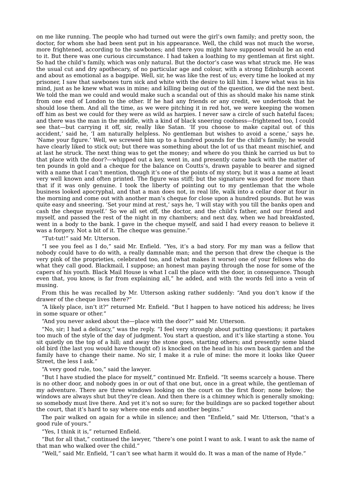on me like running. The people who had turned out were the girl's own family; and pretty soon, the doctor, for whom she had been sent put in his appearance. Well, the child was not much the worse, more frightened, according to the sawbones; and there you might have supposed would be an end to it. But there was one curious circumstance. I had taken a loathing to my gentleman at first sight. So had the child's family, which was only natural. But the doctor's case was what struck me. He was the usual cut and dry apothecary, of no particular age and colour, with a strong Edinburgh accent and about as emotional as a bagpipe. Well, sir, he was like the rest of us; every time he looked at my prisoner, I saw that sawbones turn sick and white with the desire to kill him. I knew what was in his mind, just as he knew what was in mine; and killing being out of the question, we did the next best. We told the man we could and would make such a scandal out of this as should make his name stink from one end of London to the other. If he had any friends or any credit, we undertook that he should lose them. And all the time, as we were pitching it in red hot, we were keeping the women off him as best we could for they were as wild as harpies. I never saw a circle of such hateful faces; and there was the man in the middle, with a kind of black sneering coolness—frightened too, I could see that—but carrying it off, sir, really like Satan. 'If you choose to make capital out of this accident,' said he, 'I am naturally helpless. No gentleman but wishes to avoid a scene,' says he. 'Name your figure.' Well, we screwed him up to a hundred pounds for the child's family; he would have clearly liked to stick out; but there was something about the lot of us that meant mischief, and at last he struck. The next thing was to get the money; and where do you think he carried us but to that place with the door?—whipped out a key, went in, and presently came back with the matter of ten pounds in gold and a cheque for the balance on Coutts's, drawn payable to bearer and signed with a name that I can't mention, though it's one of the points of my story, but it was a name at least very well known and often printed. The figure was stiff; but the signature was good for more than that if it was only genuine. I took the liberty of pointing out to my gentleman that the whole business looked apocryphal, and that a man does not, in real life, walk into a cellar door at four in the morning and come out with another man's cheque for close upon a hundred pounds. But he was quite easy and sneering. 'Set your mind at rest,' says he, 'I will stay with you till the banks open and cash the cheque myself.' So we all set off, the doctor, and the child's father, and our friend and myself, and passed the rest of the night in my chambers; and next day, when we had breakfasted, went in a body to the bank. I gave in the cheque myself, and said I had every reason to believe it was a forgery. Not a bit of it. The cheque was genuine."

"Tut-tut!" said Mr. Utterson.

"I see you feel as I do," said Mr. Enfield. "Yes, it's a bad story. For my man was a fellow that nobody could have to do with, a really damnable man; and the person that drew the cheque is the very pink of the proprieties, celebrated too, and (what makes it worse) one of your fellows who do what they call good. Blackmail, I suppose; an honest man paying through the nose for some of the capers of his youth. Black Mail House is what I call the place with the door, in consequence. Though even that, you know, is far from explaining all," he added, and with the words fell into a vein of musing.

From this he was recalled by Mr. Utterson asking rather suddenly: "And you don't know if the drawer of the cheque lives there?"

"A likely place, isn't it?" returned Mr. Enfield. "But I happen to have noticed his address; he lives in some square or other."

"And you never asked about the—place with the door?" said Mr. Utterson.

"No, sir; I had a delicacy," was the reply. "I feel very strongly about putting questions; it partakes too much of the style of the day of judgment. You start a question, and it's like starting a stone. You sit quietly on the top of a hill; and away the stone goes, starting others; and presently some bland old bird (the last you would have thought of) is knocked on the head in his own back garden and the family have to change their name. No sir, I make it a rule of mine: the more it looks like Queer Street, the less I ask."

"A very good rule, too," said the lawyer.

"But I have studied the place for myself," continued Mr. Enfield. "It seems scarcely a house. There is no other door, and nobody goes in or out of that one but, once in a great while, the gentleman of my adventure. There are three windows looking on the court on the first floor; none below; the windows are always shut but they're clean. And then there is a chimney which is generally smoking; so somebody must live there. And yet it's not so sure; for the buildings are so packed together about the court, that it's hard to say where one ends and another begins."

The pair walked on again for a while in silence; and then "Enfield," said Mr. Utterson, "that's a good rule of yours."

"Yes, I think it is," returned Enfield.

"But for all that," continued the lawyer, "there's one point I want to ask. I want to ask the name of that man who walked over the child."

"Well," said Mr. Enfield, "I can't see what harm it would do. It was a man of the name of Hyde."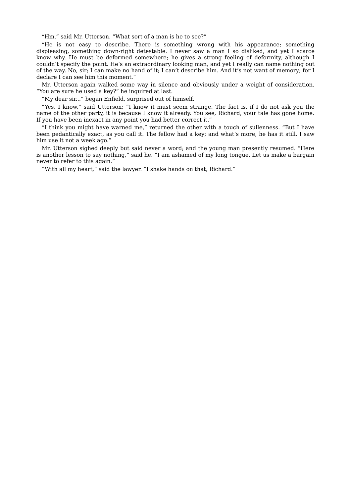"Hm," said Mr. Utterson. "What sort of a man is he to see?"

"He is not easy to describe. There is something wrong with his appearance; something displeasing, something down-right detestable. I never saw a man I so disliked, and yet I scarce know why. He must be deformed somewhere; he gives a strong feeling of deformity, although I couldn't specify the point. He's an extraordinary looking man, and yet I really can name nothing out of the way. No, sir; I can make no hand of it; I can't describe him. And it's not want of memory; for I declare I can see him this moment."

Mr. Utterson again walked some way in silence and obviously under a weight of consideration. "You are sure he used a key?" he inquired at last.

"My dear sir..." began Enfield, surprised out of himself.

"Yes, I know," said Utterson; "I know it must seem strange. The fact is, if I do not ask you the name of the other party, it is because I know it already. You see, Richard, your tale has gone home. If you have been inexact in any point you had better correct it."

"I think you might have warned me," returned the other with a touch of sullenness. "But I have been pedantically exact, as you call it. The fellow had a key; and what's more, he has it still. I saw him use it not a week ago."

Mr. Utterson sighed deeply but said never a word; and the young man presently resumed. "Here is another lesson to say nothing," said he. "I am ashamed of my long tongue. Let us make a bargain never to refer to this again."

"With all my heart," said the lawyer. "I shake hands on that, Richard."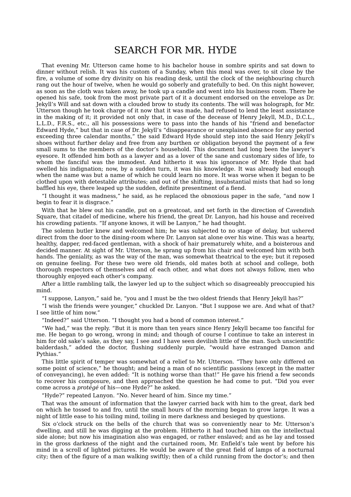#### SEARCH FOR MR. HYDE

That evening Mr. Utterson came home to his bachelor house in sombre spirits and sat down to dinner without relish. It was his custom of a Sunday, when this meal was over, to sit close by the fire, a volume of some dry divinity on his reading desk, until the clock of the neighbouring church rang out the hour of twelve, when he would go soberly and gratefully to bed. On this night however, as soon as the cloth was taken away, he took up a candle and went into his business room. There he opened his safe, took from the most private part of it a document endorsed on the envelope as Dr. Jekyll's Will and sat down with a clouded brow to study its contents. The will was holograph, for Mr. Utterson though he took charge of it now that it was made, had refused to lend the least assistance in the making of it; it provided not only that, in case of the decease of Henry Jekyll, M.D., D.C.L., L.L.D., F.R.S., etc., all his possessions were to pass into the hands of his "friend and benefactor Edward Hyde," but that in case of Dr. Jekyll's "disappearance or unexplained absence for any period exceeding three calendar months," the said Edward Hyde should step into the said Henry Jekyll's shoes without further delay and free from any burthen or obligation beyond the payment of a few small sums to the members of the doctor's household. This document had long been the lawyer's eyesore. It offended him both as a lawyer and as a lover of the sane and customary sides of life, to whom the fanciful was the immodest. And hitherto it was his ignorance of Mr. Hyde that had swelled his indignation; now, by a sudden turn, it was his knowledge. It was already bad enough when the name was but a name of which he could learn no more. It was worse when it began to be clothed upon with detestable attributes; and out of the shifting, insubstantial mists that had so long baffled his eye, there leaped up the sudden, definite presentment of a fiend.

"I thought it was madness," he said, as he replaced the obnoxious paper in the safe, "and now I begin to fear it is disgrace."

With that he blew out his candle, put on a greatcoat, and set forth in the direction of Cavendish Square, that citadel of medicine, where his friend, the great Dr. Lanyon, had his house and received his crowding patients. "If anyone knows, it will be Lanyon," he had thought.

The solemn butler knew and welcomed him; he was subjected to no stage of delay, but ushered direct from the door to the dining-room where Dr. Lanyon sat alone over his wine. This was a hearty, healthy, dapper, red-faced gentleman, with a shock of hair prematurely white, and a boisterous and decided manner. At sight of Mr. Utterson, he sprang up from his chair and welcomed him with both hands. The geniality, as was the way of the man, was somewhat theatrical to the eye; but it reposed on genuine feeling. For these two were old friends, old mates both at school and college, both thorough respectors of themselves and of each other, and what does not always follow, men who thoroughly enjoyed each other's company.

After a little rambling talk, the lawyer led up to the subject which so disagreeably preoccupied his mind.

"I suppose, Lanyon," said he, "you and I must be the two oldest friends that Henry Jekyll has?"

"I wish the friends were younger," chuckled Dr. Lanyon. "But I suppose we are. And what of that? I see little of him now."

"Indeed?" said Utterson. "I thought you had a bond of common interest."

"We had," was the reply. "But it is more than ten years since Henry Jekyll became too fanciful for me. He began to go wrong, wrong in mind; and though of course I continue to take an interest in him for old sake's sake, as they say, I see and I have seen devilish little of the man. Such unscientific balderdash," added the doctor, flushing suddenly purple, "would have estranged Damon and Pythias."

This little spirit of temper was somewhat of a relief to Mr. Utterson. "They have only differed on some point of science," he thought; and being a man of no scientific passions (except in the matter of conveyancing), he even added: "It is nothing worse than that!" He gave his friend a few seconds to recover his composure, and then approached the question he had come to put. "Did you ever come across a *protégé* of his—one Hyde?" he asked.

"Hyde?" repeated Lanyon. "No. Never heard of him. Since my time."

That was the amount of information that the lawyer carried back with him to the great, dark bed on which he tossed to and fro, until the small hours of the morning began to grow large. It was a night of little ease to his toiling mind, toiling in mere darkness and besieged by questions.

Six o'clock struck on the bells of the church that was so conveniently near to Mr. Utterson's dwelling, and still he was digging at the problem. Hitherto it had touched him on the intellectual side alone; but now his imagination also was engaged, or rather enslaved; and as he lay and tossed in the gross darkness of the night and the curtained room, Mr. Enfield's tale went by before his mind in a scroll of lighted pictures. He would be aware of the great field of lamps of a nocturnal city; then of the figure of a man walking swiftly; then of a child running from the doctor's; and then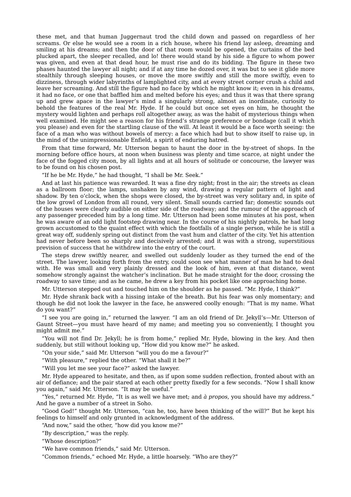these met, and that human Juggernaut trod the child down and passed on regardless of her screams. Or else he would see a room in a rich house, where his friend lay asleep, dreaming and smiling at his dreams; and then the door of that room would be opened, the curtains of the bed plucked apart, the sleeper recalled, and lo! there would stand by his side a figure to whom power was given, and even at that dead hour, he must rise and do its bidding. The figure in these two phases haunted the lawyer all night; and if at any time he dozed over, it was but to see it glide more stealthily through sleeping houses, or move the more swiftly and still the more swiftly, even to dizziness, through wider labyrinths of lamplighted city, and at every street corner crush a child and leave her screaming. And still the figure had no face by which he might know it; even in his dreams, it had no face, or one that baffled him and melted before his eyes; and thus it was that there sprang up and grew apace in the lawyer's mind a singularly strong, almost an inordinate, curiosity to behold the features of the real Mr. Hyde. If he could but once set eyes on him, he thought the mystery would lighten and perhaps roll altogether away, as was the habit of mysterious things when well examined. He might see a reason for his friend's strange preference or bondage (call it which you please) and even for the startling clause of the will. At least it would be a face worth seeing: the face of a man who was without bowels of mercy: a face which had but to show itself to raise up, in the mind of the unimpressionable Enfield, a spirit of enduring hatred.

From that time forward, Mr. Utterson began to haunt the door in the by-street of shops. In the morning before office hours, at noon when business was plenty and time scarce, at night under the face of the fogged city moon, by all lights and at all hours of solitude or concourse, the lawyer was to be found on his chosen post.

"If he be Mr. Hyde," he had thought, "I shall be Mr. Seek."

And at last his patience was rewarded. It was a fine dry night; frost in the air; the streets as clean as a ballroom floor; the lamps, unshaken by any wind, drawing a regular pattern of light and shadow. By ten o'clock, when the shops were closed, the by-street was very solitary and, in spite of the low growl of London from all round, very silent. Small sounds carried far; domestic sounds out of the houses were clearly audible on either side of the roadway; and the rumour of the approach of any passenger preceded him by a long time. Mr. Utterson had been some minutes at his post, when he was aware of an odd light footstep drawing near. In the course of his nightly patrols, he had long grown accustomed to the quaint effect with which the footfalls of a single person, while he is still a great way off, suddenly spring out distinct from the vast hum and clatter of the city. Yet his attention had never before been so sharply and decisively arrested; and it was with a strong, superstitious prevision of success that he withdrew into the entry of the court.

The steps drew swiftly nearer, and swelled out suddenly louder as they turned the end of the street. The lawyer, looking forth from the entry, could soon see what manner of man he had to deal with. He was small and very plainly dressed and the look of him, even at that distance, went somehow strongly against the watcher's inclination. But he made straight for the door, crossing the roadway to save time; and as he came, he drew a key from his pocket like one approaching home.

Mr. Utterson stepped out and touched him on the shoulder as he passed. "Mr. Hyde, I think?"

Mr. Hyde shrank back with a hissing intake of the breath. But his fear was only momentary; and though he did not look the lawyer in the face, he answered coolly enough: "That is my name. What do you want?"

"I see you are going in," returned the lawyer. "I am an old friend of Dr. Jekyll's—Mr. Utterson of Gaunt Street—you must have heard of my name; and meeting you so conveniently, I thought you might admit me."

"You will not find Dr. Jekyll; he is from home," replied Mr. Hyde, blowing in the key. And then suddenly, but still without looking up, "How did you know me?" he asked.

"On your side," said Mr. Utterson "will you do me a favour?"

"With pleasure," replied the other. "What shall it be?"

"Will you let me see your face?" asked the lawyer.

Mr. Hyde appeared to hesitate, and then, as if upon some sudden reflection, fronted about with an air of defiance; and the pair stared at each other pretty fixedly for a few seconds. "Now I shall know you again," said Mr. Utterson. "It may be useful."

"Yes," returned Mr. Hyde, "It is as well we have met; and *à propos*, you should have my address." And he gave a number of a street in Soho.

"Good God!" thought Mr. Utterson, "can he, too, have been thinking of the will?" But he kept his feelings to himself and only grunted in acknowledgment of the address.

"And now," said the other, "how did you know me?"

"By description," was the reply.

"Whose description?"

"We have common friends," said Mr. Utterson.

"Common friends," echoed Mr. Hyde, a little hoarsely. "Who are they?"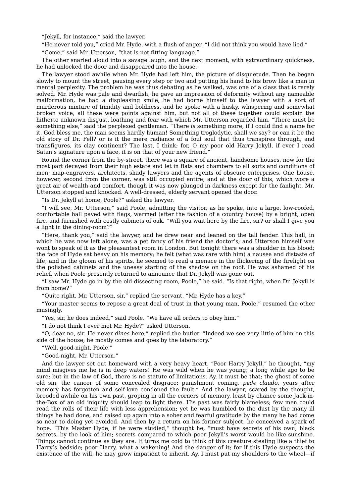"Jekyll, for instance," said the lawyer.

"He never told you," cried Mr. Hyde, with a flush of anger. "I did not think you would have lied."

"Come," said Mr. Utterson, "that is not fitting language."

The other snarled aloud into a savage laugh; and the next moment, with extraordinary quickness, he had unlocked the door and disappeared into the house.

The lawyer stood awhile when Mr. Hyde had left him, the picture of disquietude. Then he began slowly to mount the street, pausing every step or two and putting his hand to his brow like a man in mental perplexity. The problem he was thus debating as he walked, was one of a class that is rarely solved. Mr. Hyde was pale and dwarfish, he gave an impression of deformity without any nameable malformation, he had a displeasing smile, he had borne himself to the lawyer with a sort of murderous mixture of timidity and boldness, and he spoke with a husky, whispering and somewhat broken voice; all these were points against him, but not all of these together could explain the hitherto unknown disgust, loathing and fear with which Mr. Utterson regarded him. "There must be something else," said the perplexed gentleman. "There *is* something more, if I could find a name for it. God bless me, the man seems hardly human! Something troglodytic, shall we say? or can it be the old story of Dr. Fell? or is it the mere radiance of a foul soul that thus transpires through, and transfigures, its clay continent? The last, I think; for, O my poor old Harry Jekyll, if ever I read Satan's signature upon a face, it is on that of your new friend."

Round the corner from the by-street, there was a square of ancient, handsome houses, now for the most part decayed from their high estate and let in flats and chambers to all sorts and conditions of men; map-engravers, architects, shady lawyers and the agents of obscure enterprises. One house, however, second from the corner, was still occupied entire; and at the door of this, which wore a great air of wealth and comfort, though it was now plunged in darkness except for the fanlight, Mr. Utterson stopped and knocked. A well-dressed, elderly servant opened the door.

"Is Dr. Jekyll at home, Poole?" asked the lawyer.

"I will see, Mr. Utterson," said Poole, admitting the visitor, as he spoke, into a large, low-roofed, comfortable hall paved with flags, warmed (after the fashion of a country house) by a bright, open fire, and furnished with costly cabinets of oak. "Will you wait here by the fire, sir? or shall I give you a light in the dining-room?"

"Here, thank you," said the lawyer, and he drew near and leaned on the tall fender. This hall, in which he was now left alone, was a pet fancy of his friend the doctor's; and Utterson himself was wont to speak of it as the pleasantest room in London. But tonight there was a shudder in his blood; the face of Hyde sat heavy on his memory; he felt (what was rare with him) a nausea and distaste of life; and in the gloom of his spirits, he seemed to read a menace in the flickering of the firelight on the polished cabinets and the uneasy starting of the shadow on the roof. He was ashamed of his relief, when Poole presently returned to announce that Dr. Jekyll was gone out.

"I saw Mr. Hyde go in by the old dissecting room, Poole," he said. "Is that right, when Dr. Jekyll is from home?'

"Quite right, Mr. Utterson, sir," replied the servant. "Mr. Hyde has a key."

"Your master seems to repose a great deal of trust in that young man, Poole," resumed the other musingly.

"Yes, sir, he does indeed," said Poole. "We have all orders to obey him."

"I do not think I ever met Mr. Hyde?" asked Utterson.

"O, dear no, sir. He never *dines* here," replied the butler. "Indeed we see very little of him on this side of the house; he mostly comes and goes by the laboratory."

"Well, good-night, Poole."

"Good-night, Mr. Utterson."

And the lawyer set out homeward with a very heavy heart. "Poor Harry Jekyll," he thought, "my mind misgives me he is in deep waters! He was wild when he was young; a long while ago to be sure; but in the law of God, there is no statute of limitations. Ay, it must be that; the ghost of some old sin, the cancer of some concealed disgrace: punishment coming, *pede claudo*, years after memory has forgotten and self-love condoned the fault." And the lawyer, scared by the thought, brooded awhile on his own past, groping in all the corners of memory, least by chance some Jack-inthe-Box of an old iniquity should leap to light there. His past was fairly blameless; few men could read the rolls of their life with less apprehension; yet he was humbled to the dust by the many ill things he had done, and raised up again into a sober and fearful gratitude by the many he had come so near to doing yet avoided. And then by a return on his former subject, he conceived a spark of hope. "This Master Hyde, if he were studied," thought he, "must have secrets of his own; black secrets, by the look of him; secrets compared to which poor Jekyll's worst would be like sunshine. Things cannot continue as they are. It turns me cold to think of this creature stealing like a thief to Harry's bedside; poor Harry, what a wakening! And the danger of it; for if this Hyde suspects the existence of the will, he may grow impatient to inherit. Ay, I must put my shoulders to the wheel—if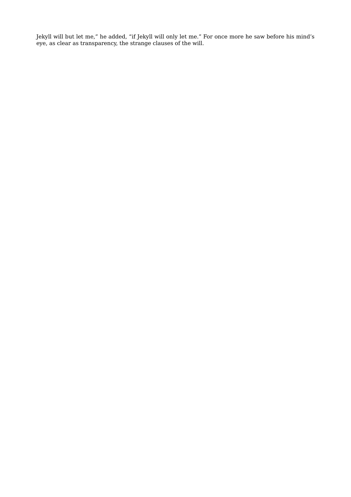Jekyll will but let me," he added, "if Jekyll will only let me." For once more he saw before his mind's eye, as clear as transparency, the strange clauses of the will.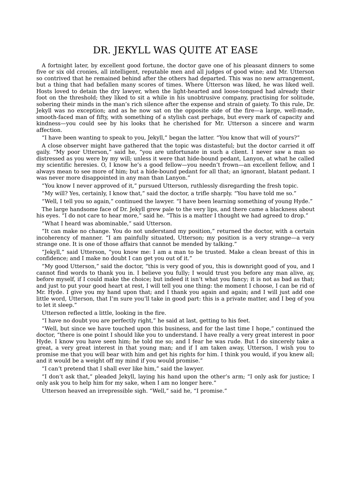### DR. JEKYLL WAS QUITE AT EASE

A fortnight later, by excellent good fortune, the doctor gave one of his pleasant dinners to some five or six old cronies, all intelligent, reputable men and all judges of good wine; and Mr. Utterson so contrived that he remained behind after the others had departed. This was no new arrangement, but a thing that had befallen many scores of times. Where Utterson was liked, he was liked well. Hosts loved to detain the dry lawyer, when the light-hearted and loose-tongued had already their foot on the threshold; they liked to sit a while in his unobtrusive company, practising for solitude, sobering their minds in the man's rich silence after the expense and strain of gaiety. To this rule, Dr. Jekyll was no exception; and as he now sat on the opposite side of the fire—a large, well-made, smooth-faced man of fifty, with something of a stylish cast perhaps, but every mark of capacity and kindness—you could see by his looks that he cherished for Mr. Utterson a sincere and warm affection.

"I have been wanting to speak to you, Jekyll," began the latter. "You know that will of yours?"

A close observer might have gathered that the topic was distasteful; but the doctor carried it off gaily. "My poor Utterson," said he, "you are unfortunate in such a client. I never saw a man so distressed as you were by my will; unless it were that hide-bound pedant, Lanyon, at what he called my scientific heresies. O, I know he's a good fellow—you needn't frown—an excellent fellow, and I always mean to see more of him; but a hide-bound pedant for all that; an ignorant, blatant pedant. I was never more disappointed in any man than Lanyon."

"You know I never approved of it," pursued Utterson, ruthlessly disregarding the fresh topic.

"My will? Yes, certainly, I know that," said the doctor, a trifle sharply. "You have told me so."

"Well, I tell you so again," continued the lawyer. "I have been learning something of young Hyde."

The large handsome face of Dr. Jekyll grew pale to the very lips, and there came a blackness about his eyes. "I do not care to hear more," said he. "This is a matter I thought we had agreed to drop."

"What I heard was abominable," said Utterson.

"It can make no change. You do not understand my position," returned the doctor, with a certain incoherency of manner. "I am painfully situated, Utterson; my position is a very strange—a very strange one. It is one of those affairs that cannot be mended by talking."

"Jekyll," said Utterson, "you know me: I am a man to be trusted. Make a clean breast of this in confidence; and I make no doubt I can get you out of it."

"My good Utterson," said the doctor, "this is very good of you, this is downright good of you, and I cannot find words to thank you in. I believe you fully; I would trust you before any man alive, ay, before myself, if I could make the choice; but indeed it isn't what you fancy; it is not as bad as that; and just to put your good heart at rest, I will tell you one thing: the moment I choose, I can be rid of Mr. Hyde. I give you my hand upon that; and I thank you again and again; and I will just add one little word, Utterson, that I'm sure you'll take in good part: this is a private matter, and I beg of you to let it sleep."

Utterson reflected a little, looking in the fire.

"I have no doubt you are perfectly right," he said at last, getting to his feet.

"Well, but since we have touched upon this business, and for the last time I hope," continued the doctor, "there is one point I should like you to understand. I have really a very great interest in poor Hyde. I know you have seen him; he told me so; and I fear he was rude. But I do sincerely take a great, a very great interest in that young man; and if I am taken away, Utterson, I wish you to promise me that you will bear with him and get his rights for him. I think you would, if you knew all; and it would be a weight off my mind if you would promise."

"I can't pretend that I shall ever like him," said the lawyer.

"I don't ask that," pleaded Jekyll, laying his hand upon the other's arm; "I only ask for justice; I only ask you to help him for my sake, when I am no longer here."

Utterson heaved an irrepressible sigh. "Well," said he, "I promise."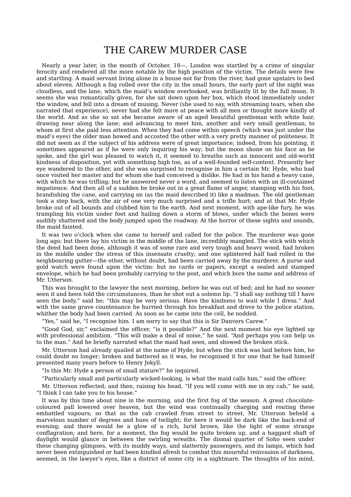### THE CAREW MURDER CASE

Nearly a year later, in the month of October, 18—, London was startled by a crime of singular ferocity and rendered all the more notable by the high position of the victim. The details were few and startling. A maid servant living alone in a house not far from the river, had gone upstairs to bed about eleven. Although a fog rolled over the city in the small hours, the early part of the night was cloudless, and the lane, which the maid's window overlooked, was brilliantly lit by the full moon. It seems she was romantically given, for she sat down upon her box, which stood immediately under the window, and fell into a dream of musing. Never (she used to say, with streaming tears, when she narrated that experience), never had she felt more at peace with all men or thought more kindly of the world. And as she so sat she became aware of an aged beautiful gentleman with white hair, drawing near along the lane; and advancing to meet him, another and very small gentleman, to whom at first she paid less attention. When they had come within speech (which was just under the maid's eyes) the older man bowed and accosted the other with a very pretty manner of politeness. It did not seem as if the subject of his address were of great importance; indeed, from his pointing, it sometimes appeared as if he were only inquiring his way; but the moon shone on his face as he spoke, and the girl was pleased to watch it, it seemed to breathe such an innocent and old-world kindness of disposition, yet with something high too, as of a well-founded self-content. Presently her eye wandered to the other, and she was surprised to recognise in him a certain Mr. Hyde, who had once visited her master and for whom she had conceived a dislike. He had in his hand a heavy cane, with which he was trifling; but he answered never a word, and seemed to listen with an ill-contained impatience. And then all of a sudden he broke out in a great flame of anger, stamping with his foot, brandishing the cane, and carrying on (as the maid described it) like a madman. The old gentleman took a step back, with the air of one very much surprised and a trifle hurt; and at that Mr. Hyde broke out of all bounds and clubbed him to the earth. And next moment, with ape-like fury, he was trampling his victim under foot and hailing down a storm of blows, under which the bones were audibly shattered and the body jumped upon the roadway. At the horror of these sights and sounds, the maid fainted.

It was two o'clock when she came to herself and called for the police. The murderer was gone long ago; but there lay his victim in the middle of the lane, incredibly mangled. The stick with which the deed had been done, although it was of some rare and very tough and heavy wood, had broken in the middle under the stress of this insensate cruelty; and one splintered half had rolled in the neighbouring gutter—the other, without doubt, had been carried away by the murderer. A purse and gold watch were found upon the victim: but no cards or papers, except a sealed and stamped envelope, which he had been probably carrying to the post, and which bore the name and address of Mr. Utterson.

This was brought to the lawyer the next morning, before he was out of bed; and he had no sooner seen it and been told the circumstances, than he shot out a solemn lip. "I shall say nothing till I have seen the body," said he; "this may be very serious. Have the kindness to wait while I dress." And with the same grave countenance he hurried through his breakfast and drove to the police station, whither the body had been carried. As soon as he came into the cell, he nodded.

"Yes," said he, "I recognise him. I am sorry to say that this is Sir Danvers Carew."

"Good God, sir," exclaimed the officer, "is it possible?" And the next moment his eye lighted up with professional ambition. "This will make a deal of noise," he said. "And perhaps you can help us to the man." And he briefly narrated what the maid had seen, and showed the broken stick.

Mr. Utterson had already quailed at the name of Hyde; but when the stick was laid before him, he could doubt no longer; broken and battered as it was, he recognised it for one that he had himself presented many years before to Henry Jekyll.

"Is this Mr. Hyde a person of small stature?" he inquired.

"Particularly small and particularly wicked-looking, is what the maid calls him," said the officer.

Mr. Utterson reflected; and then, raising his head, "If you will come with me in my cab," he said, "I think I can take you to his house."

It was by this time about nine in the morning, and the first fog of the season. A great chocolatecoloured pall lowered over heaven, but the wind was continually charging and routing these embattled vapours; so that as the cab crawled from street to street, Mr. Utterson beheld a marvelous number of degrees and hues of twilight; for here it would be dark like the back-end of evening; and there would be a glow of a rich, lurid brown, like the light of some strange conflagration; and here, for a moment, the fog would be quite broken up, and a haggard shaft of daylight would glance in between the swirling wreaths. The dismal quarter of Soho seen under these changing glimpses, with its muddy ways, and slatternly passengers, and its lamps, which had never been extinguished or had been kindled afresh to combat this mournful reinvasion of darkness, seemed, in the lawyer's eyes, like a district of some city in a nightmare. The thoughts of his mind,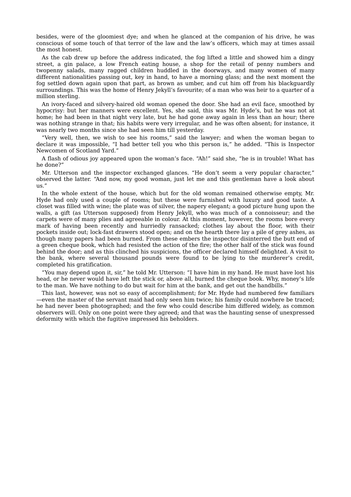besides, were of the gloomiest dye; and when he glanced at the companion of his drive, he was conscious of some touch of that terror of the law and the law's officers, which may at times assail the most honest.

As the cab drew up before the address indicated, the fog lifted a little and showed him a dingy street, a gin palace, a low French eating house, a shop for the retail of penny numbers and twopenny salads, many ragged children huddled in the doorways, and many women of many different nationalities passing out, key in hand, to have a morning glass; and the next moment the fog settled down again upon that part, as brown as umber, and cut him off from his blackguardly surroundings. This was the home of Henry Jekyll's favourite; of a man who was heir to a quarter of a million sterling.

An ivory-faced and silvery-haired old woman opened the door. She had an evil face, smoothed by hypocrisy: but her manners were excellent. Yes, she said, this was Mr. Hyde's, but he was not at home; he had been in that night very late, but he had gone away again in less than an hour; there was nothing strange in that; his habits were very irregular, and he was often absent; for instance, it was nearly two months since she had seen him till yesterday.

"Very well, then, we wish to see his rooms," said the lawyer; and when the woman began to declare it was impossible, "I had better tell you who this person is," he added. "This is Inspector Newcomen of Scotland Yard."

A flash of odious joy appeared upon the woman's face. "Ah!" said she, "he is in trouble! What has he done?"

Mr. Utterson and the inspector exchanged glances. "He don't seem a very popular character," observed the latter. "And now, my good woman, just let me and this gentleman have a look about us."

In the whole extent of the house, which but for the old woman remained otherwise empty, Mr. Hyde had only used a couple of rooms; but these were furnished with luxury and good taste. A closet was filled with wine; the plate was of silver, the napery elegant; a good picture hung upon the walls, a gift (as Utterson supposed) from Henry Jekyll, who was much of a connoisseur; and the carpets were of many plies and agreeable in colour. At this moment, however, the rooms bore every mark of having been recently and hurriedly ransacked; clothes lay about the floor, with their pockets inside out; lock-fast drawers stood open; and on the hearth there lay a pile of grey ashes, as though many papers had been burned. From these embers the inspector disinterred the butt end of a green cheque book, which had resisted the action of the fire; the other half of the stick was found behind the door; and as this clinched his suspicions, the officer declared himself delighted. A visit to the bank, where several thousand pounds were found to be lying to the murderer's credit, completed his gratification.

"You may depend upon it, sir," he told Mr. Utterson: "I have him in my hand. He must have lost his head, or he never would have left the stick or, above all, burned the cheque book. Why, money's life to the man. We have nothing to do but wait for him at the bank, and get out the handbills."

This last, however, was not so easy of accomplishment; for Mr. Hyde had numbered few familiars —even the master of the servant maid had only seen him twice; his family could nowhere be traced; he had never been photographed; and the few who could describe him differed widely, as common observers will. Only on one point were they agreed; and that was the haunting sense of unexpressed deformity with which the fugitive impressed his beholders.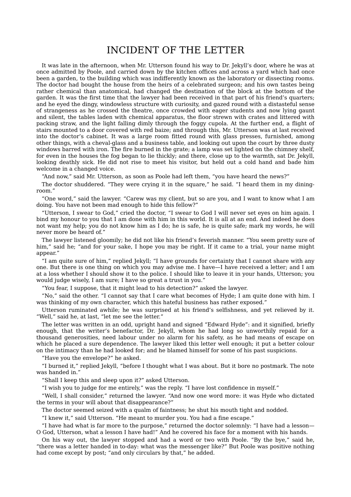### INCIDENT OF THE LETTER

It was late in the afternoon, when Mr. Utterson found his way to Dr. Jekyll's door, where he was at once admitted by Poole, and carried down by the kitchen offices and across a yard which had once been a garden, to the building which was indifferently known as the laboratory or dissecting rooms. The doctor had bought the house from the heirs of a celebrated surgeon; and his own tastes being rather chemical than anatomical, had changed the destination of the block at the bottom of the garden. It was the first time that the lawyer had been received in that part of his friend's quarters; and he eyed the dingy, windowless structure with curiosity, and gazed round with a distasteful sense of strangeness as he crossed the theatre, once crowded with eager students and now lying gaunt and silent, the tables laden with chemical apparatus, the floor strewn with crates and littered with packing straw, and the light falling dimly through the foggy cupola. At the further end, a flight of stairs mounted to a door covered with red baize; and through this, Mr. Utterson was at last received into the doctor's cabinet. It was a large room fitted round with glass presses, furnished, among other things, with a cheval-glass and a business table, and looking out upon the court by three dusty windows barred with iron. The fire burned in the grate; a lamp was set lighted on the chimney shelf, for even in the houses the fog began to lie thickly; and there, close up to the warmth, sat Dr. Jekyll, looking deathly sick. He did not rise to meet his visitor, but held out a cold hand and bade him welcome in a changed voice.

"And now," said Mr. Utterson, as soon as Poole had left them, "you have heard the news?"

The doctor shuddered. "They were crying it in the square," he said. "I heard them in my diningroom."

"One word," said the lawyer. "Carew was my client, but so are you, and I want to know what I am doing. You have not been mad enough to hide this fellow?"

"Utterson, I swear to God," cried the doctor, "I swear to God I will never set eyes on him again. I bind my honour to you that I am done with him in this world. It is all at an end. And indeed he does not want my help; you do not know him as I do; he is safe, he is quite safe; mark my words, he will never more be heard of."

The lawyer listened gloomily; he did not like his friend's feverish manner. "You seem pretty sure of him," said he; "and for your sake, I hope you may be right. If it came to a trial, your name might appear."

"I am quite sure of him," replied Jekyll; "I have grounds for certainty that I cannot share with any one. But there is one thing on which you may advise me. I have—I have received a letter; and I am at a loss whether I should show it to the police. I should like to leave it in your hands, Utterson; you would judge wisely, I am sure; I have so great a trust in you."

"You fear, I suppose, that it might lead to his detection?" asked the lawyer.

"No," said the other. "I cannot say that I care what becomes of Hyde; I am quite done with him. I was thinking of my own character, which this hateful business has rather exposed."

Utterson ruminated awhile; he was surprised at his friend's selfishness, and yet relieved by it. "Well," said he, at last, "let me see the letter."

The letter was written in an odd, upright hand and signed "Edward Hyde": and it signified, briefly enough, that the writer's benefactor, Dr. Jekyll, whom he had long so unworthily repaid for a thousand generosities, need labour under no alarm for his safety, as he had means of escape on which he placed a sure dependence. The lawyer liked this letter well enough; it put a better colour on the intimacy than he had looked for; and he blamed himself for some of his past suspicions.

"Have you the envelope?" he asked.

"I burned it," replied Jekyll, "before I thought what I was about. But it bore no postmark. The note was handed in."

"Shall I keep this and sleep upon it?" asked Utterson.

"I wish you to judge for me entirely," was the reply. "I have lost confidence in myself."

"Well, I shall consider," returned the lawyer. "And now one word more: it was Hyde who dictated the terms in your will about that disappearance?"

The doctor seemed seized with a qualm of faintness; he shut his mouth tight and nodded.

"I knew it," said Utterson. "He meant to murder you. You had a fine escape."

"I have had what is far more to the purpose," returned the doctor solemnly: "I have had a lesson— O God, Utterson, what a lesson I have had!" And he covered his face for a moment with his hands.

On his way out, the lawyer stopped and had a word or two with Poole. "By the bye," said he, "there was a letter handed in to-day: what was the messenger like?" But Poole was positive nothing had come except by post; "and only circulars by that," he added.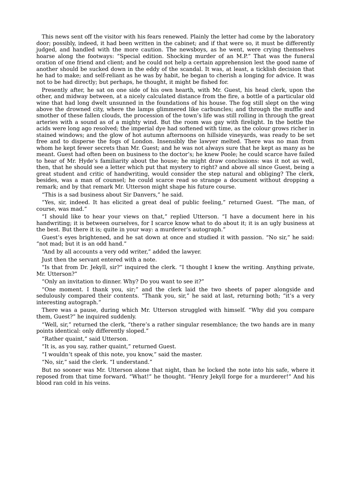This news sent off the visitor with his fears renewed. Plainly the letter had come by the laboratory door; possibly, indeed, it had been written in the cabinet; and if that were so, it must be differently judged, and handled with the more caution. The newsboys, as he went, were crying themselves hoarse along the footways: "Special edition. Shocking murder of an M.P." That was the funeral oration of one friend and client; and he could not help a certain apprehension lest the good name of another should be sucked down in the eddy of the scandal. It was, at least, a ticklish decision that he had to make; and self-reliant as he was by habit, he began to cherish a longing for advice. It was not to be had directly; but perhaps, he thought, it might be fished for.

Presently after, he sat on one side of his own hearth, with Mr. Guest, his head clerk, upon the other, and midway between, at a nicely calculated distance from the fire, a bottle of a particular old wine that had long dwelt unsunned in the foundations of his house. The fog still slept on the wing above the drowned city, where the lamps glimmered like carbuncles; and through the muffle and smother of these fallen clouds, the procession of the town's life was still rolling in through the great arteries with a sound as of a mighty wind. But the room was gay with firelight. In the bottle the acids were long ago resolved; the imperial dye had softened with time, as the colour grows richer in stained windows; and the glow of hot autumn afternoons on hillside vineyards, was ready to be set free and to disperse the fogs of London. Insensibly the lawyer melted. There was no man from whom he kept fewer secrets than Mr. Guest; and he was not always sure that he kept as many as he meant. Guest had often been on business to the doctor's; he knew Poole; he could scarce have failed to hear of Mr. Hyde's familiarity about the house; he might draw conclusions: was it not as well, then, that he should see a letter which put that mystery to right? and above all since Guest, being a great student and critic of handwriting, would consider the step natural and obliging? The clerk, besides, was a man of counsel; he could scarce read so strange a document without dropping a remark; and by that remark Mr. Utterson might shape his future course.

"This is a sad business about Sir Danvers," he said.

"Yes, sir, indeed. It has elicited a great deal of public feeling," returned Guest. "The man, of course, was mad."

"I should like to hear your views on that," replied Utterson. "I have a document here in his handwriting; it is between ourselves, for I scarce know what to do about it; it is an ugly business at the best. But there it is; quite in your way: a murderer's autograph."

Guest's eyes brightened, and he sat down at once and studied it with passion. "No sir," he said: "not mad; but it is an odd hand."

"And by all accounts a very odd writer," added the lawyer.

Just then the servant entered with a note.

"Is that from Dr. Jekyll, sir?" inquired the clerk. "I thought I knew the writing. Anything private, Mr. Utterson?"

"Only an invitation to dinner. Why? Do you want to see it?"

"One moment. I thank you, sir;" and the clerk laid the two sheets of paper alongside and sedulously compared their contents. "Thank you, sir," he said at last, returning both; "it's a very interesting autograph."

There was a pause, during which Mr. Utterson struggled with himself. "Why did you compare them, Guest?" he inquired suddenly.

"Well, sir," returned the clerk, "there's a rather singular resemblance; the two hands are in many points identical: only differently sloped."

"Rather quaint," said Utterson.

"It is, as you say, rather quaint," returned Guest.

"I wouldn't speak of this note, you know," said the master.

"No, sir," said the clerk. "I understand."

But no sooner was Mr. Utterson alone that night, than he locked the note into his safe, where it reposed from that time forward. "What!" he thought. "Henry Jekyll forge for a murderer!" And his blood ran cold in his veins.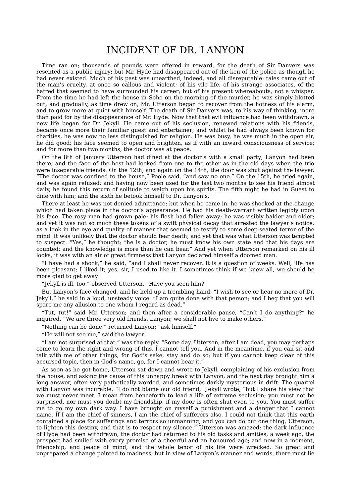# INCIDENT OF DR. LANYON

Time ran on; thousands of pounds were offered in reward, for the death of Sir Danvers was resented as a public injury; but Mr. Hyde had disappeared out of the ken of the police as though he had never existed. Much of his past was unearthed, indeed, and all disreputable: tales came out of the man's cruelty, at once so callous and violent; of his vile life, of his strange associates, of the hatred that seemed to have surrounded his career; but of his present whereabouts, not a whisper. From the time he had left the house in Soho on the morning of the murder, he was simply blotted out; and gradually, as time drew on, Mr. Utterson began to recover from the hotness of his alarm, and to grow more at quiet with himself. The death of Sir Danvers was, to his way of thinking, more than paid for by the disappearance of Mr. Hyde. Now that that evil influence had been withdrawn, a new life began for Dr. Jekyll. He came out of his seclusion, renewed relations with his friends, became once more their familiar guest and entertainer; and whilst he had always been known for charities, he was now no less distinguished for religion. He was busy, he was much in the open air, he did good; his face seemed to open and brighten, as if with an inward consciousness of service; and for more than two months, the doctor was at peace.

On the 8th of January Utterson had dined at the doctor's with a small party; Lanyon had been there; and the face of the host had looked from one to the other as in the old days when the trio were inseparable friends. On the 12th, and again on the 14th, the door was shut against the lawyer. "The doctor was confined to the house," Poole said, "and saw no one." On the 15th, he tried again, and was again refused; and having now been used for the last two months to see his friend almost daily, he found this return of solitude to weigh upon his spirits. The fifth night he had in Guest to dine with him; and the sixth he betook himself to Dr. Lanyon's.

There at least he was not denied admittance; but when he came in, he was shocked at the change which had taken place in the doctor's appearance. He had his death-warrant written legibly upon his face. The rosy man had grown pale; his flesh had fallen away; he was visibly balder and older; and yet it was not so much these tokens of a swift physical decay that arrested the lawyer's notice, as a look in the eye and quality of manner that seemed to testify to some deep-seated terror of the mind. It was unlikely that the doctor should fear death; and yet that was what Utterson was tempted to suspect. "Yes," he thought; "he is a doctor, he must know his own state and that his days are counted; and the knowledge is more than he can bear." And yet when Utterson remarked on his ill looks, it was with an air of great firmness that Lanyon declared himself a doomed man.

"I have had a shock," he said, "and I shall never recover. It is a question of weeks. Well, life has been pleasant; I liked it; yes, sir, I used to like it. I sometimes think if we knew all, we should be more glad to get away."

"Jekyll is ill, too," observed Utterson. "Have you seen him?"

But Lanyon's face changed, and he held up a trembling hand. "I wish to see or hear no more of Dr. Jekyll," he said in a loud, unsteady voice. "I am quite done with that person; and I beg that you will spare me any allusion to one whom I regard as dead."

"Tut, tut!" said Mr. Utterson; and then after a considerable pause, "Can't I do anything?" he inquired. "We are three very old friends, Lanyon; we shall not live to make others."

"Nothing can be done," returned Lanyon; "ask himself."

"He will not see me," said the lawyer.

"I am not surprised at that," was the reply. "Some day, Utterson, after I am dead, you may perhaps come to learn the right and wrong of this. I cannot tell you. And in the meantime, if you can sit and talk with me of other things, for God's sake, stay and do so; but if you cannot keep clear of this accursed topic, then in God's name, go, for I cannot bear it."

As soon as he got home, Utterson sat down and wrote to Jekyll, complaining of his exclusion from the house, and asking the cause of this unhappy break with Lanyon; and the next day brought him a long answer, often very pathetically worded, and sometimes darkly mysterious in drift. The quarrel with Lanyon was incurable. "I do not blame our old friend," Jekyll wrote, "but I share his view that we must never meet. I mean from henceforth to lead a life of extreme seclusion; you must not be surprised, nor must you doubt my friendship, if my door is often shut even to you. You must suffer me to go my own dark way. I have brought on myself a punishment and a danger that I cannot name. If I am the chief of sinners, I am the chief of sufferers also. I could not think that this earth contained a place for sufferings and terrors so unmanning; and you can do but one thing, Utterson, to lighten this destiny, and that is to respect my silence." Utterson was amazed; the dark influence of Hyde had been withdrawn, the doctor had returned to his old tasks and amities; a week ago, the prospect had smiled with every promise of a cheerful and an honoured age; and now in a moment, friendship, and peace of mind, and the whole tenor of his life were wrecked. So great and unprepared a change pointed to madness; but in view of Lanyon's manner and words, there must lie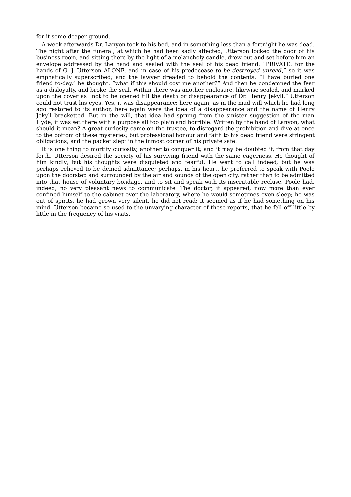for it some deeper ground.

A week afterwards Dr. Lanyon took to his bed, and in something less than a fortnight he was dead. The night after the funeral, at which he had been sadly affected, Utterson locked the door of his business room, and sitting there by the light of a melancholy candle, drew out and set before him an envelope addressed by the hand and sealed with the seal of his dead friend. "PRIVATE: for the hands of G. J. Utterson ALONE, and in case of his predecease *to be destroyed unread*," so it was emphatically superscribed; and the lawyer dreaded to behold the contents. "I have buried one friend to-day," he thought: "what if this should cost me another?" And then he condemned the fear as a disloyalty, and broke the seal. Within there was another enclosure, likewise sealed, and marked upon the cover as "not to be opened till the death or disappearance of Dr. Henry Jekyll." Utterson could not trust his eyes. Yes, it was disappearance; here again, as in the mad will which he had long ago restored to its author, here again were the idea of a disappearance and the name of Henry Jekyll bracketted. But in the will, that idea had sprung from the sinister suggestion of the man Hyde; it was set there with a purpose all too plain and horrible. Written by the hand of Lanyon, what should it mean? A great curiosity came on the trustee, to disregard the prohibition and dive at once to the bottom of these mysteries; but professional honour and faith to his dead friend were stringent obligations; and the packet slept in the inmost corner of his private safe.

It is one thing to mortify curiosity, another to conquer it; and it may be doubted if, from that day forth, Utterson desired the society of his surviving friend with the same eagerness. He thought of him kindly; but his thoughts were disquieted and fearful. He went to call indeed; but he was perhaps relieved to be denied admittance; perhaps, in his heart, he preferred to speak with Poole upon the doorstep and surrounded by the air and sounds of the open city, rather than to be admitted into that house of voluntary bondage, and to sit and speak with its inscrutable recluse. Poole had, indeed, no very pleasant news to communicate. The doctor, it appeared, now more than ever confined himself to the cabinet over the laboratory, where he would sometimes even sleep; he was out of spirits, he had grown very silent, he did not read; it seemed as if he had something on his mind. Utterson became so used to the unvarying character of these reports, that he fell off little by little in the frequency of his visits.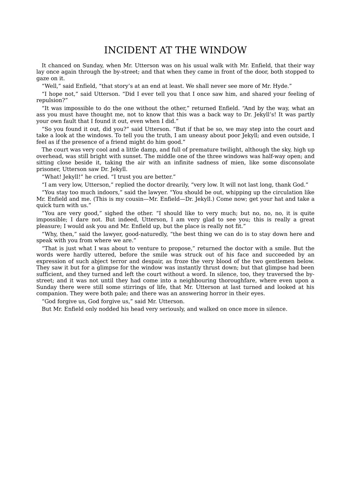# INCIDENT AT THE WINDOW

It chanced on Sunday, when Mr. Utterson was on his usual walk with Mr. Enfield, that their way lay once again through the by-street; and that when they came in front of the door, both stopped to gaze on it.

"Well," said Enfield, "that story's at an end at least. We shall never see more of Mr. Hyde."

"I hope not," said Utterson. "Did I ever tell you that I once saw him, and shared your feeling of repulsion?"

"It was impossible to do the one without the other," returned Enfield. "And by the way, what an ass you must have thought me, not to know that this was a back way to Dr. Jekyll's! It was partly your own fault that I found it out, even when I did."

"So you found it out, did you?" said Utterson. "But if that be so, we may step into the court and take a look at the windows. To tell you the truth, I am uneasy about poor Jekyll; and even outside, I feel as if the presence of a friend might do him good."

The court was very cool and a little damp, and full of premature twilight, although the sky, high up overhead, was still bright with sunset. The middle one of the three windows was half-way open; and sitting close beside it, taking the air with an infinite sadness of mien, like some disconsolate prisoner, Utterson saw Dr. Jekyll.

"What! Jekyll!" he cried. "I trust you are better."

"I am very low, Utterson," replied the doctor drearily, "very low. It will not last long, thank God."

"You stay too much indoors," said the lawyer. "You should be out, whipping up the circulation like Mr. Enfield and me. (This is my cousin—Mr. Enfield—Dr. Jekyll.) Come now; get your hat and take a quick turn with us."

"You are very good," sighed the other. "I should like to very much; but no, no, no, it is quite impossible; I dare not. But indeed, Utterson, I am very glad to see you; this is really a great pleasure; I would ask you and Mr. Enfield up, but the place is really not fit."

"Why, then," said the lawyer, good-naturedly, "the best thing we can do is to stay down here and speak with you from where we are."

"That is just what I was about to venture to propose," returned the doctor with a smile. But the words were hardly uttered, before the smile was struck out of his face and succeeded by an expression of such abject terror and despair, as froze the very blood of the two gentlemen below. They saw it but for a glimpse for the window was instantly thrust down; but that glimpse had been sufficient, and they turned and left the court without a word. In silence, too, they traversed the bystreet; and it was not until they had come into a neighbouring thoroughfare, where even upon a Sunday there were still some stirrings of life, that Mr. Utterson at last turned and looked at his companion. They were both pale; and there was an answering horror in their eyes.

"God forgive us, God forgive us," said Mr. Utterson.

But Mr. Enfield only nodded his head very seriously, and walked on once more in silence.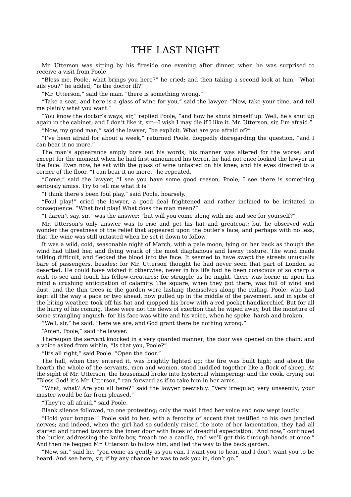# THE LAST NIGHT

Mr. Utterson was sitting by his fireside one evening after dinner, when he was surprised to receive a visit from Poole.

"Bless me, Poole, what brings you here?" he cried; and then taking a second look at him, "What ails you?" he added; "is the doctor ill?"

"Mr. Utterson," said the man, "there is something wrong."

"Take a seat, and here is a glass of wine for you," said the lawyer. "Now, take your time, and tell me plainly what you want."

"You know the doctor's ways, sir," replied Poole, "and how he shuts himself up. Well, he's shut up again in the cabinet; and I don't like it, sir—I wish I may die if I like it. Mr. Utterson, sir, I'm afraid."

"Now, my good man," said the lawyer, "be explicit. What are you afraid of?"

"I've been afraid for about a week," returned Poole, doggedly disregarding the question, "and I can bear it no more."

The man's appearance amply bore out his words; his manner was altered for the worse; and except for the moment when he had first announced his terror, he had not once looked the lawyer in the face. Even now, he sat with the glass of wine untasted on his knee, and his eyes directed to a corner of the floor. "I can bear it no more," he repeated.

"Come," said the lawyer, "I see you have some good reason, Poole; I see there is something seriously amiss. Try to tell me what it is."

"I think there's been foul play," said Poole, hoarsely.

"Foul play!" cried the lawyer, a good deal frightened and rather inclined to be irritated in consequence. "What foul play! What does the man mean?"

"I daren't say, sir," was the answer; "but will you come along with me and see for yourself?"

Mr. Utterson's only answer was to rise and get his hat and greatcoat; but he observed with wonder the greatness of the relief that appeared upon the butler's face, and perhaps with no less, that the wine was still untasted when he set it down to follow.

It was a wild, cold, seasonable night of March, with a pale moon, lying on her back as though the wind had tilted her, and flying wrack of the most diaphanous and lawny texture. The wind made talking difficult, and flecked the blood into the face. It seemed to have swept the streets unusually bare of passengers, besides; for Mr. Utterson thought he had never seen that part of London so deserted. He could have wished it otherwise; never in his life had he been conscious of so sharp a wish to see and touch his fellow-creatures; for struggle as he might, there was borne in upon his mind a crushing anticipation of calamity. The square, when they got there, was full of wind and dust, and the thin trees in the garden were lashing themselves along the railing. Poole, who had kept all the way a pace or two ahead, now pulled up in the middle of the pavement, and in spite of the biting weather, took off his hat and mopped his brow with a red pocket-handkerchief. But for all the hurry of his coming, these were not the dews of exertion that he wiped away, but the moisture of some strangling anguish; for his face was white and his voice, when he spoke, harsh and broken.

"Well, sir," he said, "here we are, and God grant there be nothing wrong."

"Amen, Poole," said the lawyer.

Thereupon the servant knocked in a very guarded manner; the door was opened on the chain; and a voice asked from within, "Is that you, Poole?"

"It's all right," said Poole. "Open the door."

The hall, when they entered it, was brightly lighted up; the fire was built high; and about the hearth the whole of the servants, men and women, stood huddled together like a flock of sheep. At the sight of Mr. Utterson, the housemaid broke into hysterical whimpering; and the cook, crying out "Bless God! it's Mr. Utterson," ran forward as if to take him in her arms.

"What, what? Are you all here?" said the lawyer peevishly. "Very irregular, very unseemly; your master would be far from pleased."

"They're all afraid," said Poole.

Blank silence followed, no one protesting; only the maid lifted her voice and now wept loudly.

"Hold your tongue!" Poole said to her, with a ferocity of accent that testified to his own jangled nerves; and indeed, when the girl had so suddenly raised the note of her lamentation, they had all started and turned towards the inner door with faces of dreadful expectation. "And now," continued the butler, addressing the knife-boy, "reach me a candle, and we'll get this through hands at once." And then he begged Mr. Utterson to follow him, and led the way to the back garden.

"Now, sir," said he, "you come as gently as you can. I want you to hear, and I don't want you to be heard. And see here, sir, if by any chance he was to ask you in, don't go."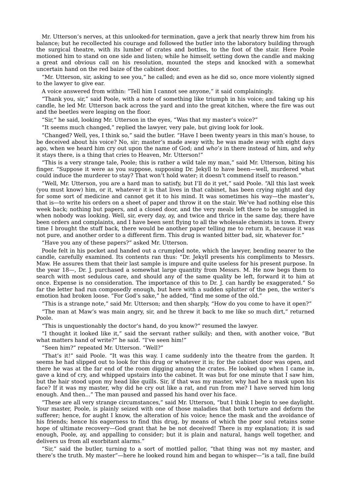Mr. Utterson's nerves, at this unlooked-for termination, gave a jerk that nearly threw him from his balance; but he recollected his courage and followed the butler into the laboratory building through the surgical theatre, with its lumber of crates and bottles, to the foot of the stair. Here Poole motioned him to stand on one side and listen; while he himself, setting down the candle and making a great and obvious call on his resolution, mounted the steps and knocked with a somewhat uncertain hand on the red baize of the cabinet door.

"Mr. Utterson, sir, asking to see you," he called; and even as he did so, once more violently signed to the lawyer to give ear.

A voice answered from within: "Tell him I cannot see anyone," it said complainingly.

"Thank you, sir," said Poole, with a note of something like triumph in his voice; and taking up his candle, he led Mr. Utterson back across the yard and into the great kitchen, where the fire was out and the beetles were leaping on the floor.

"Sir," he said, looking Mr. Utterson in the eyes, "Was that my master's voice?"

"It seems much changed," replied the lawyer, very pale, but giving look for look.

"Changed? Well, yes, I think so," said the butler. "Have I been twenty years in this man's house, to be deceived about his voice? No, sir; master's made away with; he was made away with eight days ago, when we heard him cry out upon the name of God; and *who's* in there instead of him, and *why* it stays there, is a thing that cries to Heaven, Mr. Utterson!"

"This is a very strange tale, Poole; this is rather a wild tale my man," said Mr. Utterson, biting his finger. "Suppose it were as you suppose, supposing Dr. Jekyll to have been—well, murdered what could induce the murderer to stay? That won't hold water; it doesn't commend itself to reason."

"Well, Mr. Utterson, you are a hard man to satisfy, but I'll do it yet," said Poole. "All this last week (you must know) him, or it, whatever it is that lives in that cabinet, has been crying night and day for some sort of medicine and cannot get it to his mind. It was sometimes his way—the master's, that is—to write his orders on a sheet of paper and throw it on the stair. We've had nothing else this week back; nothing but papers, and a closed door, and the very meals left there to be smuggled in when nobody was looking. Well, sir, every day, ay, and twice and thrice in the same day, there have been orders and complaints, and I have been sent flying to all the wholesale chemists in town. Every time I brought the stuff back, there would be another paper telling me to return it, because it was not pure, and another order to a different firm. This drug is wanted bitter bad, sir, whatever for."

"Have you any of these papers?" asked Mr. Utterson.

Poole felt in his pocket and handed out a crumpled note, which the lawyer, bending nearer to the candle, carefully examined. Its contents ran thus: "Dr. Jekyll presents his compliments to Messrs. Maw. He assures them that their last sample is impure and quite useless for his present purpose. In the year 18—, Dr. J. purchased a somewhat large quantity from Messrs. M. He now begs them to search with most sedulous care, and should any of the same quality be left, forward it to him at once. Expense is no consideration. The importance of this to Dr. J. can hardly be exaggerated." So far the letter had run composedly enough, but here with a sudden splutter of the pen, the writer's emotion had broken loose. "For God's sake," he added, "find me some of the old."

"This is a strange note," said Mr. Utterson; and then sharply, "How do you come to have it open?"

"The man at Maw's was main angry, sir, and he threw it back to me like so much dirt," returned Poole.

"This is unquestionably the doctor's hand, do you know?" resumed the lawyer.

"I thought it looked like it," said the servant rather sulkily; and then, with another voice, "But what matters hand of write?" he said. "I've seen him!"

"Seen him?" repeated Mr. Utterson. "Well?"

"That's it!" said Poole. "It was this way. I came suddenly into the theatre from the garden. It seems he had slipped out to look for this drug or whatever it is; for the cabinet door was open, and there he was at the far end of the room digging among the crates. He looked up when I came in, gave a kind of cry, and whipped upstairs into the cabinet. It was but for one minute that I saw him, but the hair stood upon my head like quills. Sir, if that was my master, why had he a mask upon his face? If it was my master, why did he cry out like a rat, and run from me? I have served him long enough. And then..." The man paused and passed his hand over his face.

"These are all very strange circumstances," said Mr. Utterson, "but I think I begin to see daylight. Your master, Poole, is plainly seized with one of those maladies that both torture and deform the sufferer; hence, for aught I know, the alteration of his voice; hence the mask and the avoidance of his friends; hence his eagerness to find this drug, by means of which the poor soul retains some hope of ultimate recovery—God grant that he be not deceived! There is my explanation; it is sad enough, Poole, ay, and appalling to consider; but it is plain and natural, hangs well together, and delivers us from all exorbitant alarms."

"Sir," said the butler, turning to a sort of mottled pallor, "that thing was not my master, and there's the truth. My master"—here he looked round him and began to whisper—"is a tall, fine build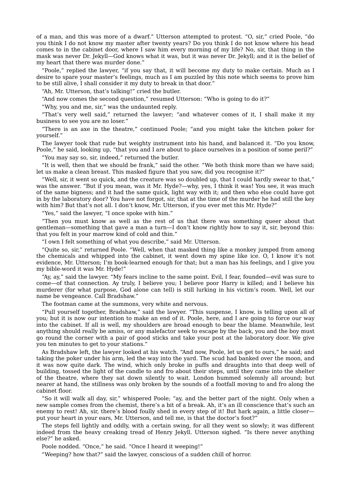of a man, and this was more of a dwarf." Utterson attempted to protest. "O, sir," cried Poole, "do you think I do not know my master after twenty years? Do you think I do not know where his head comes to in the cabinet door, where I saw him every morning of my life? No, sir, that thing in the mask was never Dr. Jekyll—God knows what it was, but it was never Dr. Jekyll; and it is the belief of my heart that there was murder done."

"Poole," replied the lawyer, "if you say that, it will become my duty to make certain. Much as I desire to spare your master's feelings, much as I am puzzled by this note which seems to prove him to be still alive, I shall consider it my duty to break in that door."

"Ah, Mr. Utterson, that's talking!" cried the butler.

"And now comes the second question," resumed Utterson: "Who is going to do it?"

"Why, you and me, sir," was the undaunted reply.

"That's very well said," returned the lawyer; "and whatever comes of it, I shall make it my business to see you are no loser."

"There is an axe in the theatre," continued Poole; "and you might take the kitchen poker for yourself."

The lawyer took that rude but weighty instrument into his hand, and balanced it. "Do you know, Poole," he said, looking up, "that you and I are about to place ourselves in a position of some peril?"

"You may say so, sir, indeed," returned the butler.

"It is well, then that we should be frank," said the other. "We both think more than we have said; let us make a clean breast. This masked figure that you saw, did you recognise it?"

"Well, sir, it went so quick, and the creature was so doubled up, that I could hardly swear to that," was the answer. "But if you mean, was it Mr. Hyde?—why, yes, I think it was! You see, it was much of the same bigness; and it had the same quick, light way with it; and then who else could have got in by the laboratory door? You have not forgot, sir, that at the time of the murder he had still the key with him? But that's not all. I don't know, Mr. Utterson, if you ever met this Mr. Hyde?"

"Yes," said the lawyer, "I once spoke with him."

"Then you must know as well as the rest of us that there was something queer about that gentleman—something that gave a man a turn—I don't know rightly how to say it, sir, beyond this: that you felt in your marrow kind of cold and thin."

"I own I felt something of what you describe," said Mr. Utterson.

"Quite so, sir," returned Poole. "Well, when that masked thing like a monkey jumped from among the chemicals and whipped into the cabinet, it went down my spine like ice. O, I know it's not evidence, Mr. Utterson; I'm book-learned enough for that; but a man has his feelings, and I give you my bible-word it was Mr. Hyde!"

"Ay, ay," said the lawyer. "My fears incline to the same point. Evil, I fear, founded—evil was sure to come—of that connection. Ay truly, I believe you; I believe poor Harry is killed; and I believe his murderer (for what purpose, God alone can tell) is still lurking in his victim's room. Well, let our name be vengeance. Call Bradshaw."

The footman came at the summons, very white and nervous.

"Pull yourself together, Bradshaw," said the lawyer. "This suspense, I know, is telling upon all of you; but it is now our intention to make an end of it. Poole, here, and I are going to force our way into the cabinet. If all is well, my shoulders are broad enough to bear the blame. Meanwhile, lest anything should really be amiss, or any malefactor seek to escape by the back, you and the boy must go round the corner with a pair of good sticks and take your post at the laboratory door. We give you ten minutes to get to your stations."

As Bradshaw left, the lawyer looked at his watch. "And now, Poole, let us get to ours," he said; and taking the poker under his arm, led the way into the yard. The scud had banked over the moon, and it was now quite dark. The wind, which only broke in puffs and draughts into that deep well of building, tossed the light of the candle to and fro about their steps, until they came into the shelter of the theatre, where they sat down silently to wait. London hummed solemnly all around; but nearer at hand, the stillness was only broken by the sounds of a footfall moving to and fro along the cabinet floor.

"So it will walk all day, sir," whispered Poole; "ay, and the better part of the night. Only when a new sample comes from the chemist, there's a bit of a break. Ah, it's an ill conscience that's such an enemy to rest! Ah, sir, there's blood foully shed in every step of it! But hark again, a little closer put your heart in your ears, Mr. Utterson, and tell me, is that the doctor's foot?"

The steps fell lightly and oddly, with a certain swing, for all they went so slowly; it was different indeed from the heavy creaking tread of Henry Jekyll. Utterson sighed. "Is there never anything else?" he asked.

Poole nodded. "Once," he said. "Once I heard it weeping!"

"Weeping? how that?" said the lawyer, conscious of a sudden chill of horror.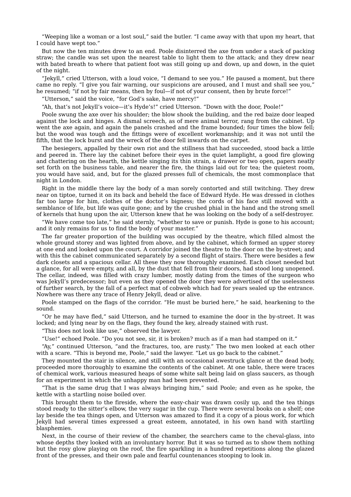"Weeping like a woman or a lost soul," said the butler. "I came away with that upon my heart, that I could have wept too."

But now the ten minutes drew to an end. Poole disinterred the axe from under a stack of packing straw; the candle was set upon the nearest table to light them to the attack; and they drew near with bated breath to where that patient foot was still going up and down, up and down, in the quiet of the night.

"Jekyll," cried Utterson, with a loud voice, "I demand to see you." He paused a moment, but there came no reply. "I give you fair warning, our suspicions are aroused, and I must and shall see you," he resumed: "if not by fair means, then by foul—if not of your consent, then by brute force!"

"Utterson," said the voice, "for God's sake, have mercy!"

"Ah, that's not Jekyll's voice—it's Hyde's!" cried Utterson. "Down with the door, Poole!"

Poole swung the axe over his shoulder; the blow shook the building, and the red baize door leaped against the lock and hinges. A dismal screech, as of mere animal terror, rang from the cabinet. Up went the axe again, and again the panels crashed and the frame bounded; four times the blow fell; but the wood was tough and the fittings were of excellent workmanship; and it was not until the fifth, that the lock burst and the wreck of the door fell inwards on the carpet.

The besiegers, appalled by their own riot and the stillness that had succeeded, stood back a little and peered in. There lay the cabinet before their eyes in the quiet lamplight, a good fire glowing and chattering on the hearth, the kettle singing its thin strain, a drawer or two open, papers neatly set forth on the business table, and nearer the fire, the things laid out for tea; the quietest room, you would have said, and, but for the glazed presses full of chemicals, the most commonplace that night in London.

Right in the middle there lay the body of a man sorely contorted and still twitching. They drew near on tiptoe, turned it on its back and beheld the face of Edward Hyde. He was dressed in clothes far too large for him, clothes of the doctor's bigness; the cords of his face still moved with a semblance of life, but life was quite gone; and by the crushed phial in the hand and the strong smell of kernels that hung upon the air, Utterson knew that he was looking on the body of a self-destroyer.

"We have come too late," he said sternly, "whether to save or punish. Hyde is gone to his account; and it only remains for us to find the body of your master."

The far greater proportion of the building was occupied by the theatre, which filled almost the whole ground storey and was lighted from above, and by the cabinet, which formed an upper storey at one end and looked upon the court. A corridor joined the theatre to the door on the by-street; and with this the cabinet communicated separately by a second flight of stairs. There were besides a few dark closets and a spacious cellar. All these they now thoroughly examined. Each closet needed but a glance, for all were empty, and all, by the dust that fell from their doors, had stood long unopened. The cellar, indeed, was filled with crazy lumber, mostly dating from the times of the surgeon who was Jekyll's predecessor; but even as they opened the door they were advertised of the uselessness of further search, by the fall of a perfect mat of cobweb which had for years sealed up the entrance. Nowhere was there any trace of Henry Jekyll, dead or alive.

Poole stamped on the flags of the corridor. "He must be buried here," he said, hearkening to the sound.

"Or he may have fled," said Utterson, and he turned to examine the door in the by-street. It was locked; and lying near by on the flags, they found the key, already stained with rust.

"This does not look like use," observed the lawyer.

"Use!" echoed Poole. "Do you not see, sir, it is broken? much as if a man had stamped on it."

"Ay," continued Utterson, "and the fractures, too, are rusty." The two men looked at each other with a scare. "This is beyond me, Poole," said the lawyer. "Let us go back to the cabinet."

They mounted the stair in silence, and still with an occasional awestruck glance at the dead body, proceeded more thoroughly to examine the contents of the cabinet. At one table, there were traces of chemical work, various measured heaps of some white salt being laid on glass saucers, as though for an experiment in which the unhappy man had been prevented.

"That is the same drug that I was always bringing him," said Poole; and even as he spoke, the kettle with a startling noise boiled over.

This brought them to the fireside, where the easy-chair was drawn cosily up, and the tea things stood ready to the sitter's elbow, the very sugar in the cup. There were several books on a shelf; one lay beside the tea things open, and Utterson was amazed to find it a copy of a pious work, for which Jekyll had several times expressed a great esteem, annotated, in his own hand with startling blasphemies.

Next, in the course of their review of the chamber, the searchers came to the cheval-glass, into whose depths they looked with an involuntary horror. But it was so turned as to show them nothing but the rosy glow playing on the roof, the fire sparkling in a hundred repetitions along the glazed front of the presses, and their own pale and fearful countenances stooping to look in.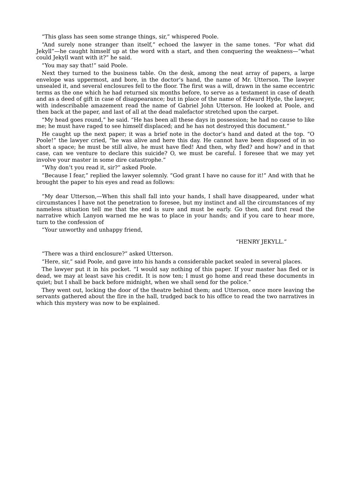"This glass has seen some strange things, sir," whispered Poole.

"And surely none stranger than itself," echoed the lawyer in the same tones. "For what did Jekyll"—he caught himself up at the word with a start, and then conquering the weakness—"what could Jekyll want with it?" he said.

"You may say that!" said Poole.

Next they turned to the business table. On the desk, among the neat array of papers, a large envelope was uppermost, and bore, in the doctor's hand, the name of Mr. Utterson. The lawyer unsealed it, and several enclosures fell to the floor. The first was a will, drawn in the same eccentric terms as the one which he had returned six months before, to serve as a testament in case of death and as a deed of gift in case of disappearance; but in place of the name of Edward Hyde, the lawyer, with indescribable amazement read the name of Gabriel John Utterson. He looked at Poole, and then back at the paper, and last of all at the dead malefactor stretched upon the carpet.

"My head goes round," he said. "He has been all these days in possession; he had no cause to like me; he must have raged to see himself displaced; and he has not destroyed this document."

He caught up the next paper; it was a brief note in the doctor's hand and dated at the top. "O Poole!" the lawyer cried, "he was alive and here this day. He cannot have been disposed of in so short a space; he must be still alive, he must have fled! And then, why fled? and how? and in that case, can we venture to declare this suicide? O, we must be careful. I foresee that we may yet involve your master in some dire catastrophe."

"Why don't you read it, sir?" asked Poole.

"Because I fear," replied the lawyer solemnly. "God grant I have no cause for it!" And with that he brought the paper to his eyes and read as follows:

"My dear Utterson,—When this shall fall into your hands, I shall have disappeared, under what circumstances I have not the penetration to foresee, but my instinct and all the circumstances of my nameless situation tell me that the end is sure and must be early. Go then, and first read the narrative which Lanyon warned me he was to place in your hands; and if you care to hear more, turn to the confession of

"Your unworthy and unhappy friend,

#### "HENRY JEKYLL."

"There was a third enclosure?" asked Utterson.

"Here, sir," said Poole, and gave into his hands a considerable packet sealed in several places.

The lawyer put it in his pocket. "I would say nothing of this paper. If your master has fled or is dead, we may at least save his credit. It is now ten; I must go home and read these documents in quiet; but I shall be back before midnight, when we shall send for the police."

They went out, locking the door of the theatre behind them; and Utterson, once more leaving the servants gathered about the fire in the hall, trudged back to his office to read the two narratives in which this mystery was now to be explained.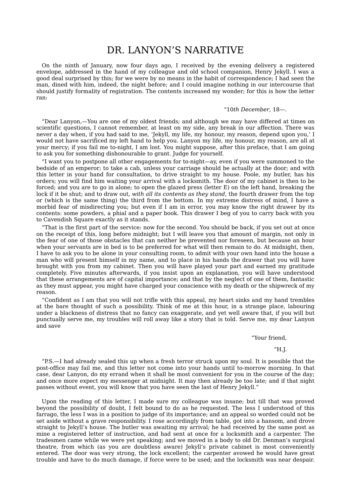## DR. LANYON'S NARRATIVE

On the ninth of January, now four days ago, I received by the evening delivery a registered envelope, addressed in the hand of my colleague and old school companion, Henry Jekyll. I was a good deal surprised by this; for we were by no means in the habit of correspondence; I had seen the man, dined with him, indeed, the night before; and I could imagine nothing in our intercourse that should justify formality of registration. The contents increased my wonder; for this is how the letter ran:

#### "10*th December*, 18—.

"Dear Lanyon,—You are one of my oldest friends; and although we may have differed at times on scientific questions, I cannot remember, at least on my side, any break in our affection. There was never a day when, if you had said to me, 'Jekyll, my life, my honour, my reason, depend upon you,' I would not have sacrificed my left hand to help you. Lanyon my life, my honour, my reason, are all at your mercy; if you fail me to-night, I am lost. You might suppose, after this preface, that I am going to ask you for something dishonourable to grant. Judge for yourself.

"I want you to postpone all other engagements for to-night—ay, even if you were summoned to the bedside of an emperor; to take a cab, unless your carriage should be actually at the door; and with this letter in your hand for consultation, to drive straight to my house. Poole, my butler, has his orders; you will find him waiting your arrival with a locksmith. The door of my cabinet is then to be forced; and you are to go in alone; to open the glazed press (letter E) on the left hand, breaking the lock if it be shut; and to draw out, *with all its contents as they stand*, the fourth drawer from the top or (which is the same thing) the third from the bottom. In my extreme distress of mind, I have a morbid fear of misdirecting you; but even if I am in error, you may know the right drawer by its contents: some powders, a phial and a paper book. This drawer I beg of you to carry back with you to Cavendish Square exactly as it stands.

"That is the first part of the service: now for the second. You should be back, if you set out at once on the receipt of this, long before midnight; but I will leave you that amount of margin, not only in the fear of one of those obstacles that can neither be prevented nor foreseen, but because an hour when your servants are in bed is to be preferred for what will then remain to do. At midnight, then, I have to ask you to be alone in your consulting room, to admit with your own hand into the house a man who will present himself in my name, and to place in his hands the drawer that you will have brought with you from my cabinet. Then you will have played your part and earned my gratitude completely. Five minutes afterwards, if you insist upon an explanation, you will have understood that these arrangements are of capital importance; and that by the neglect of one of them, fantastic as they must appear, you might have charged your conscience with my death or the shipwreck of my reason.

"Confident as I am that you will not trifle with this appeal, my heart sinks and my hand trembles at the bare thought of such a possibility. Think of me at this hour, in a strange place, labouring under a blackness of distress that no fancy can exaggerate, and yet well aware that, if you will but punctually serve me, my troubles will roll away like a story that is told. Serve me, my dear Lanyon and save

"Your friend,

#### "H.J.

"P.S.—I had already sealed this up when a fresh terror struck upon my soul. It is possible that the post-office may fail me, and this letter not come into your hands until to-morrow morning. In that case, dear Lanyon, do my errand when it shall be most convenient for you in the course of the day; and once more expect my messenger at midnight. It may then already be too late; and if that night passes without event, you will know that you have seen the last of Henry Jekyll."

Upon the reading of this letter, I made sure my colleague was insane; but till that was proved beyond the possibility of doubt, I felt bound to do as he requested. The less I understood of this farrago, the less I was in a position to judge of its importance; and an appeal so worded could not be set aside without a grave responsibility. I rose accordingly from table, got into a hansom, and drove straight to Jekyll's house. The butler was awaiting my arrival; he had received by the same post as mine a registered letter of instruction, and had sent at once for a locksmith and a carpenter. The tradesmen came while we were yet speaking; and we moved in a body to old Dr. Denman's surgical theatre, from which (as you are doubtless aware) Jekyll's private cabinet is most conveniently entered. The door was very strong, the lock excellent; the carpenter avowed he would have great trouble and have to do much damage, if force were to be used; and the locksmith was near despair.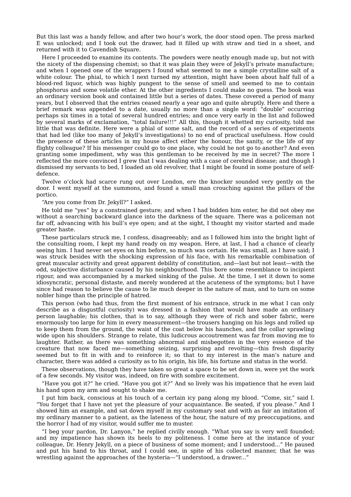But this last was a handy fellow, and after two hour's work, the door stood open. The press marked E was unlocked; and I took out the drawer, had it filled up with straw and tied in a sheet, and returned with it to Cavendish Square.

Here I proceeded to examine its contents. The powders were neatly enough made up, but not with the nicety of the dispensing chemist; so that it was plain they were of Jekyll's private manufacture; and when I opened one of the wrappers I found what seemed to me a simple crystalline salt of a white colour. The phial, to which I next turned my attention, might have been about half full of a blood-red liquor, which was highly pungent to the sense of smell and seemed to me to contain phosphorus and some volatile ether. At the other ingredients I could make no guess. The book was an ordinary version book and contained little but a series of dates. These covered a period of many years, but I observed that the entries ceased nearly a year ago and quite abruptly. Here and there a brief remark was appended to a date, usually no more than a single word: "double" occurring perhaps six times in a total of several hundred entries; and once very early in the list and followed by several marks of exclamation, "total failure!!!" All this, though it whetted my curiosity, told me little that was definite. Here were a phial of some salt, and the record of a series of experiments that had led (like too many of Jekyll's investigations) to no end of practical usefulness. How could the presence of these articles in my house affect either the honour, the sanity, or the life of my flighty colleague? If his messenger could go to one place, why could he not go to another? And even granting some impediment, why was this gentleman to be received by me in secret? The more I reflected the more convinced I grew that I was dealing with a case of cerebral disease; and though I dismissed my servants to bed, I loaded an old revolver, that I might be found in some posture of selfdefence.

Twelve o'clock had scarce rung out over London, ere the knocker sounded very gently on the door. I went myself at the summons, and found a small man crouching against the pillars of the portico.

"Are you come from Dr. Jekyll?" I asked.

He told me "yes" by a constrained gesture; and when I had bidden him enter, he did not obey me without a searching backward glance into the darkness of the square. There was a policeman not far off, advancing with his bull's eye open; and at the sight, I thought my visitor started and made greater haste.

These particulars struck me, I confess, disagreeably; and as I followed him into the bright light of the consulting room, I kept my hand ready on my weapon. Here, at last, I had a chance of clearly seeing him. I had never set eyes on him before, so much was certain. He was small, as I have said; I was struck besides with the shocking expression of his face, with his remarkable combination of great muscular activity and great apparent debility of constitution, and—last but not least—with the odd, subjective disturbance caused by his neighbourhood. This bore some resemblance to incipient rigour, and was accompanied by a marked sinking of the pulse. At the time, I set it down to some idiosyncratic, personal distaste, and merely wondered at the acuteness of the symptoms; but I have since had reason to believe the cause to lie much deeper in the nature of man, and to turn on some nobler hinge than the principle of hatred.

This person (who had thus, from the first moment of his entrance, struck in me what I can only describe as a disgustful curiosity) was dressed in a fashion that would have made an ordinary person laughable; his clothes, that is to say, although they were of rich and sober fabric, were enormously too large for him in every measurement—the trousers hanging on his legs and rolled up to keep them from the ground, the waist of the coat below his haunches, and the collar sprawling wide upon his shoulders. Strange to relate, this ludicrous accoutrement was far from moving me to laughter. Rather, as there was something abnormal and misbegotten in the very essence of the creature that now faced me—something seizing, surprising and revolting—this fresh disparity seemed but to fit in with and to reinforce it; so that to my interest in the man's nature and character, there was added a curiosity as to his origin, his life, his fortune and status in the world.

These observations, though they have taken so great a space to be set down in, were yet the work of a few seconds. My visitor was, indeed, on fire with sombre excitement.

"Have you got it?" he cried. "Have you got it?" And so lively was his impatience that he even laid his hand upon my arm and sought to shake me.

I put him back, conscious at his touch of a certain icy pang along my blood. "Come, sir," said I. "You forget that I have not yet the pleasure of your acquaintance. Be seated, if you please." And I showed him an example, and sat down myself in my customary seat and with as fair an imitation of my ordinary manner to a patient, as the lateness of the hour, the nature of my preoccupations, and the horror I had of my visitor, would suffer me to muster.

"I beg your pardon, Dr. Lanyon," he replied civilly enough. "What you say is very well founded; and my impatience has shown its heels to my politeness. I come here at the instance of your colleague, Dr. Henry Jekyll, on a piece of business of some moment; and I understood..." He paused and put his hand to his throat, and I could see, in spite of his collected manner, that he was wrestling against the approaches of the hysteria—"I understood, a drawer..."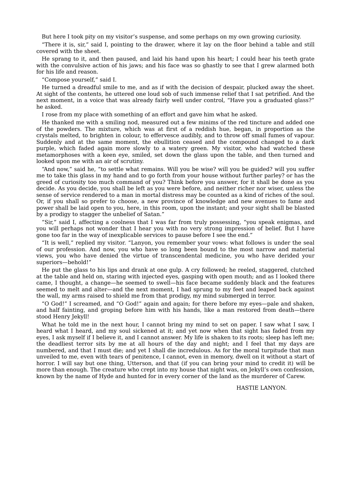But here I took pity on my visitor's suspense, and some perhaps on my own growing curiosity.

"There it is, sir," said I, pointing to the drawer, where it lay on the floor behind a table and still covered with the sheet.

He sprang to it, and then paused, and laid his hand upon his heart; I could hear his teeth grate with the convulsive action of his jaws; and his face was so ghastly to see that I grew alarmed both for his life and reason.

"Compose yourself," said I.

He turned a dreadful smile to me, and as if with the decision of despair, plucked away the sheet. At sight of the contents, he uttered one loud sob of such immense relief that I sat petrified. And the next moment, in a voice that was already fairly well under control, "Have you a graduated glass?" he asked.

I rose from my place with something of an effort and gave him what he asked.

He thanked me with a smiling nod, measured out a few minims of the red tincture and added one of the powders. The mixture, which was at first of a reddish hue, began, in proportion as the crystals melted, to brighten in colour, to effervesce audibly, and to throw off small fumes of vapour. Suddenly and at the same moment, the ebullition ceased and the compound changed to a dark purple, which faded again more slowly to a watery green. My visitor, who had watched these metamorphoses with a keen eye, smiled, set down the glass upon the table, and then turned and looked upon me with an air of scrutiny.

"And now," said he, "to settle what remains. Will you be wise? will you be guided? will you suffer me to take this glass in my hand and to go forth from your house without further parley? or has the greed of curiosity too much command of you? Think before you answer, for it shall be done as you decide. As you decide, you shall be left as you were before, and neither richer nor wiser, unless the sense of service rendered to a man in mortal distress may be counted as a kind of riches of the soul. Or, if you shall so prefer to choose, a new province of knowledge and new avenues to fame and power shall be laid open to you, here, in this room, upon the instant; and your sight shall be blasted by a prodigy to stagger the unbelief of Satan."

"Sir," said I, affecting a coolness that I was far from truly possessing, "you speak enigmas, and you will perhaps not wonder that I hear you with no very strong impression of belief. But I have gone too far in the way of inexplicable services to pause before I see the end."

"It is well," replied my visitor. "Lanyon, you remember your vows: what follows is under the seal of our profession. And now, you who have so long been bound to the most narrow and material views, you who have denied the virtue of transcendental medicine, you who have derided your superiors—behold!"

He put the glass to his lips and drank at one gulp. A cry followed; he reeled, staggered, clutched at the table and held on, staring with injected eyes, gasping with open mouth; and as I looked there came, I thought, a change—he seemed to swell—his face became suddenly black and the features seemed to melt and alter—and the next moment, I had sprung to my feet and leaped back against the wall, my arms raised to shield me from that prodigy, my mind submerged in terror.

"O God!" I screamed, and "O God!" again and again; for there before my eyes—pale and shaken, and half fainting, and groping before him with his hands, like a man restored from death—there stood Henry Jekyll!

What he told me in the next hour, I cannot bring my mind to set on paper. I saw what I saw, I heard what I heard, and my soul sickened at it; and yet now when that sight has faded from my eyes, I ask myself if I believe it, and I cannot answer. My life is shaken to its roots; sleep has left me; the deadliest terror sits by me at all hours of the day and night; and I feel that my days are numbered, and that I must die; and yet I shall die incredulous. As for the moral turpitude that man unveiled to me, even with tears of penitence, I cannot, even in memory, dwell on it without a start of horror. I will say but one thing, Utterson, and that (if you can bring your mind to credit it) will be more than enough. The creature who crept into my house that night was, on Jekyll's own confession, known by the name of Hyde and hunted for in every corner of the land as the murderer of Carew.

HASTIE LANYON.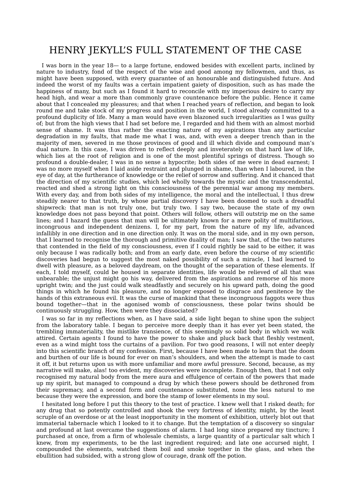## HENRY JEKYLL'S FULL STATEMENT OF THE CASE

I was born in the year 18— to a large fortune, endowed besides with excellent parts, inclined by nature to industry, fond of the respect of the wise and good among my fellowmen, and thus, as might have been supposed, with every guarantee of an honourable and distinguished future. And indeed the worst of my faults was a certain impatient gaiety of disposition, such as has made the happiness of many, but such as I found it hard to reconcile with my imperious desire to carry my head high, and wear a more than commonly grave countenance before the public. Hence it came about that I concealed my pleasures; and that when I reached years of reflection, and began to look round me and take stock of my progress and position in the world, I stood already committed to a profound duplicity of life. Many a man would have even blazoned such irregularities as I was guilty of; but from the high views that I had set before me, I regarded and hid them with an almost morbid sense of shame. It was thus rather the exacting nature of my aspirations than any particular degradation in my faults, that made me what I was, and, with even a deeper trench than in the majority of men, severed in me those provinces of good and ill which divide and compound man's dual nature. In this case, I was driven to reflect deeply and inveterately on that hard law of life, which lies at the root of religion and is one of the most plentiful springs of distress. Though so profound a double-dealer, I was in no sense a hypocrite; both sides of me were in dead earnest; I was no more myself when I laid aside restraint and plunged in shame, than when I laboured, in the eye of day, at the furtherance of knowledge or the relief of sorrow and suffering. And it chanced that the direction of my scientific studies, which led wholly towards the mystic and the transcendental, reacted and shed a strong light on this consciousness of the perennial war among my members. With every day, and from both sides of my intelligence, the moral and the intellectual, I thus drew steadily nearer to that truth, by whose partial discovery I have been doomed to such a dreadful shipwreck: that man is not truly one, but truly two. I say two, because the state of my own knowledge does not pass beyond that point. Others will follow, others will outstrip me on the same lines; and I hazard the guess that man will be ultimately known for a mere polity of multifarious, incongruous and independent denizens. I, for my part, from the nature of my life, advanced infallibly in one direction and in one direction only. It was on the moral side, and in my own person, that I learned to recognise the thorough and primitive duality of man; I saw that, of the two natures that contended in the field of my consciousness, even if I could rightly be said to be either, it was only because I was radically both; and from an early date, even before the course of my scientific discoveries had begun to suggest the most naked possibility of such a miracle, I had learned to dwell with pleasure, as a beloved daydream, on the thought of the separation of these elements. If each, I told myself, could be housed in separate identities, life would be relieved of all that was unbearable; the unjust might go his way, delivered from the aspirations and remorse of his more upright twin; and the just could walk steadfastly and securely on his upward path, doing the good things in which he found his pleasure, and no longer exposed to disgrace and penitence by the hands of this extraneous evil. It was the curse of mankind that these incongruous faggots were thus bound together—that in the agonised womb of consciousness, these polar twins should be continuously struggling. How, then were they dissociated?

I was so far in my reflections when, as I have said, a side light began to shine upon the subject from the laboratory table. I began to perceive more deeply than it has ever yet been stated, the trembling immateriality, the mistlike transience, of this seemingly so solid body in which we walk attired. Certain agents I found to have the power to shake and pluck back that fleshly vestment, even as a wind might toss the curtains of a pavilion. For two good reasons, I will not enter deeply into this scientific branch of my confession. First, because I have been made to learn that the doom and burthen of our life is bound for ever on man's shoulders, and when the attempt is made to cast it off, it but returns upon us with more unfamiliar and more awful pressure. Second, because, as my narrative will make, alas! too evident, my discoveries were incomplete. Enough then, that I not only recognised my natural body from the mere aura and effulgence of certain of the powers that made up my spirit, but managed to compound a drug by which these powers should be dethroned from their supremacy, and a second form and countenance substituted, none the less natural to me because they were the expression, and bore the stamp of lower elements in my soul.

I hesitated long before I put this theory to the test of practice. I knew well that I risked death; for any drug that so potently controlled and shook the very fortress of identity, might, by the least scruple of an overdose or at the least inopportunity in the moment of exhibition, utterly blot out that immaterial tabernacle which I looked to it to change. But the temptation of a discovery so singular and profound at last overcame the suggestions of alarm. I had long since prepared my tincture; I purchased at once, from a firm of wholesale chemists, a large quantity of a particular salt which I knew, from my experiments, to be the last ingredient required; and late one accursed night, I compounded the elements, watched them boil and smoke together in the glass, and when the ebullition had subsided, with a strong glow of courage, drank off the potion.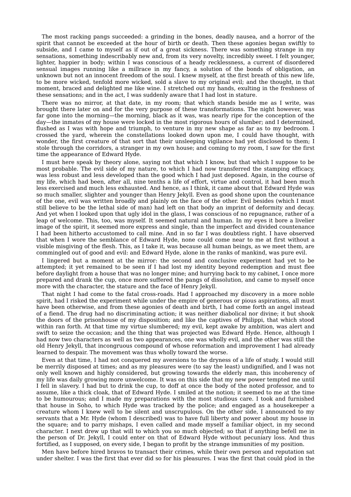The most racking pangs succeeded: a grinding in the bones, deadly nausea, and a horror of the spirit that cannot be exceeded at the hour of birth or death. Then these agonies began swiftly to subside, and I came to myself as if out of a great sickness. There was something strange in my sensations, something indescribably new and, from its very novelty, incredibly sweet. I felt younger, lighter, happier in body; within I was conscious of a heady recklessness, a current of disordered sensual images running like a millrace in my fancy, a solution of the bonds of obligation, an unknown but not an innocent freedom of the soul. I knew myself, at the first breath of this new life, to be more wicked, tenfold more wicked, sold a slave to my original evil; and the thought, in that moment, braced and delighted me like wine. I stretched out my hands, exulting in the freshness of these sensations; and in the act, I was suddenly aware that I had lost in stature.

There was no mirror, at that date, in my room; that which stands beside me as I write, was brought there later on and for the very purpose of these transformations. The night however, was far gone into the morning—the morning, black as it was, was nearly ripe for the conception of the day—the inmates of my house were locked in the most rigorous hours of slumber; and I determined, flushed as I was with hope and triumph, to venture in my new shape as far as to my bedroom. I crossed the yard, wherein the constellations looked down upon me, I could have thought, with wonder, the first creature of that sort that their unsleeping vigilance had yet disclosed to them; I stole through the corridors, a stranger in my own house; and coming to my room, I saw for the first time the appearance of Edward Hyde.

I must here speak by theory alone, saying not that which I know, but that which I suppose to be most probable. The evil side of my nature, to which I had now transferred the stamping efficacy, was less robust and less developed than the good which I had just deposed. Again, in the course of my life, which had been, after all, nine tenths a life of effort, virtue and control, it had been much less exercised and much less exhausted. And hence, as I think, it came about that Edward Hyde was so much smaller, slighter and younger than Henry Jekyll. Even as good shone upon the countenance of the one, evil was written broadly and plainly on the face of the other. Evil besides (which I must still believe to be the lethal side of man) had left on that body an imprint of deformity and decay. And yet when I looked upon that ugly idol in the glass, I was conscious of no repugnance, rather of a leap of welcome. This, too, was myself. It seemed natural and human. In my eyes it bore a livelier image of the spirit, it seemed more express and single, than the imperfect and divided countenance I had been hitherto accustomed to call mine. And in so far I was doubtless right. I have observed that when I wore the semblance of Edward Hyde, none could come near to me at first without a visible misgiving of the flesh. This, as I take it, was because all human beings, as we meet them, are commingled out of good and evil: and Edward Hyde, alone in the ranks of mankind, was pure evil.

I lingered but a moment at the mirror: the second and conclusive experiment had yet to be attempted; it yet remained to be seen if I had lost my identity beyond redemption and must flee before daylight from a house that was no longer mine; and hurrying back to my cabinet, I once more prepared and drank the cup, once more suffered the pangs of dissolution, and came to myself once more with the character, the stature and the face of Henry Jekyll.

That night I had come to the fatal cross-roads. Had I approached my discovery in a more noble spirit, had I risked the experiment while under the empire of generous or pious aspirations, all must have been otherwise, and from these agonies of death and birth, I had come forth an angel instead of a fiend. The drug had no discriminating action; it was neither diabolical nor divine; it but shook the doors of the prisonhouse of my disposition; and like the captives of Philippi, that which stood within ran forth. At that time my virtue slumbered; my evil, kept awake by ambition, was alert and swift to seize the occasion; and the thing that was projected was Edward Hyde. Hence, although I had now two characters as well as two appearances, one was wholly evil, and the other was still the old Henry Jekyll, that incongruous compound of whose reformation and improvement I had already learned to despair. The movement was thus wholly toward the worse.

Even at that time, I had not conquered my aversions to the dryness of a life of study. I would still be merrily disposed at times; and as my pleasures were (to say the least) undignified, and I was not only well known and highly considered, but growing towards the elderly man, this incoherency of my life was daily growing more unwelcome. It was on this side that my new power tempted me until I fell in slavery. I had but to drink the cup, to doff at once the body of the noted professor, and to assume, like a thick cloak, that of Edward Hyde. I smiled at the notion; it seemed to me at the time to be humourous; and I made my preparations with the most studious care. I took and furnished that house in Soho, to which Hyde was tracked by the police; and engaged as a housekeeper a creature whom I knew well to be silent and unscrupulous. On the other side, I announced to my servants that a Mr. Hyde (whom I described) was to have full liberty and power about my house in the square; and to parry mishaps, I even called and made myself a familiar object, in my second character. I next drew up that will to which you so much objected; so that if anything befell me in the person of Dr. Jekyll, I could enter on that of Edward Hyde without pecuniary loss. And thus fortified, as I supposed, on every side, I began to profit by the strange immunities of my position.

Men have before hired bravos to transact their crimes, while their own person and reputation sat under shelter. I was the first that ever did so for his pleasures. I was the first that could plod in the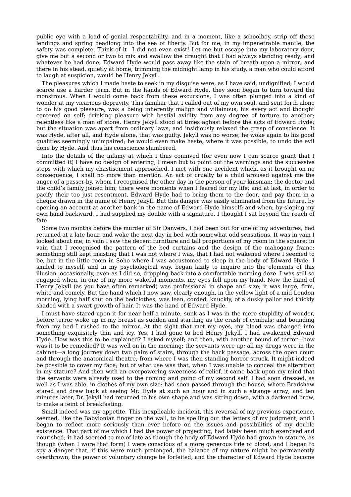public eye with a load of genial respectability, and in a moment, like a schoolboy, strip off these lendings and spring headlong into the sea of liberty. But for me, in my impenetrable mantle, the safety was complete. Think of it—I did not even exist! Let me but escape into my laboratory door, give me but a second or two to mix and swallow the draught that I had always standing ready; and whatever he had done, Edward Hyde would pass away like the stain of breath upon a mirror; and there in his stead, quietly at home, trimming the midnight lamp in his study, a man who could afford to laugh at suspicion, would be Henry Jekyll.

The pleasures which I made haste to seek in my disguise were, as I have said, undignified; I would scarce use a harder term. But in the hands of Edward Hyde, they soon began to turn toward the monstrous. When I would come back from these excursions, I was often plunged into a kind of wonder at my vicarious depravity. This familiar that I called out of my own soul, and sent forth alone to do his good pleasure, was a being inherently malign and villainous; his every act and thought centered on self; drinking pleasure with bestial avidity from any degree of torture to another; relentless like a man of stone. Henry Jekyll stood at times aghast before the acts of Edward Hyde; but the situation was apart from ordinary laws, and insidiously relaxed the grasp of conscience. It was Hyde, after all, and Hyde alone, that was guilty. Jekyll was no worse; he woke again to his good qualities seemingly unimpaired; he would even make haste, where it was possible, to undo the evil done by Hyde. And thus his conscience slumbered.

Into the details of the infamy at which I thus connived (for even now I can scarce grant that I committed it) I have no design of entering; I mean but to point out the warnings and the successive steps with which my chastisement approached. I met with one accident which, as it brought on no consequence, I shall no more than mention. An act of cruelty to a child aroused against me the anger of a passer-by, whom I recognised the other day in the person of your kinsman; the doctor and the child's family joined him; there were moments when I feared for my life; and at last, in order to pacify their too just resentment, Edward Hyde had to bring them to the door, and pay them in a cheque drawn in the name of Henry Jekyll. But this danger was easily eliminated from the future, by opening an account at another bank in the name of Edward Hyde himself; and when, by sloping my own hand backward, I had supplied my double with a signature, I thought I sat beyond the reach of fate.

Some two months before the murder of Sir Danvers, I had been out for one of my adventures, had returned at a late hour, and woke the next day in bed with somewhat odd sensations. It was in vain I looked about me; in vain I saw the decent furniture and tall proportions of my room in the square; in vain that I recognised the pattern of the bed curtains and the design of the mahogany frame; something still kept insisting that I was not where I was, that I had not wakened where I seemed to be, but in the little room in Soho where I was accustomed to sleep in the body of Edward Hyde. I smiled to myself, and in my psychological way, began lazily to inquire into the elements of this illusion, occasionally, even as I did so, dropping back into a comfortable morning doze. I was still so engaged when, in one of my more wakeful moments, my eyes fell upon my hand. Now the hand of Henry Jekyll (as you have often remarked) was professional in shape and size; it was large, firm, white and comely. But the hand which I now saw, clearly enough, in the yellow light of a mid-London morning, lying half shut on the bedclothes, was lean, corded, knuckly, of a dusky pallor and thickly shaded with a swart growth of hair. It was the hand of Edward Hyde.

I must have stared upon it for near half a minute, sunk as I was in the mere stupidity of wonder, before terror woke up in my breast as sudden and startling as the crash of cymbals; and bounding from my bed I rushed to the mirror. At the sight that met my eyes, my blood was changed into something exquisitely thin and icy. Yes, I had gone to bed Henry Jekyll, I had awakened Edward Hyde. How was this to be explained? I asked myself; and then, with another bound of terror—how was it to be remedied? It was well on in the morning; the servants were up; all my drugs were in the cabinet—a long journey down two pairs of stairs, through the back passage, across the open court and through the anatomical theatre, from where I was then standing horror-struck. It might indeed be possible to cover my face; but of what use was that, when I was unable to conceal the alteration in my stature? And then with an overpowering sweetness of relief, it came back upon my mind that the servants were already used to the coming and going of my second self. I had soon dressed, as well as I was able, in clothes of my own size: had soon passed through the house, where Bradshaw stared and drew back at seeing Mr. Hyde at such an hour and in such a strange array; and ten minutes later, Dr. Jekyll had returned to his own shape and was sitting down, with a darkened brow, to make a feint of breakfasting.

Small indeed was my appetite. This inexplicable incident, this reversal of my previous experience, seemed, like the Babylonian finger on the wall, to be spelling out the letters of my judgment; and I began to reflect more seriously than ever before on the issues and possibilities of my double existence. That part of me which I had the power of projecting, had lately been much exercised and nourished; it had seemed to me of late as though the body of Edward Hyde had grown in stature, as though (when I wore that form) I were conscious of a more generous tide of blood; and I began to spy a danger that, if this were much prolonged, the balance of my nature might be permanently overthrown, the power of voluntary change be forfeited, and the character of Edward Hyde become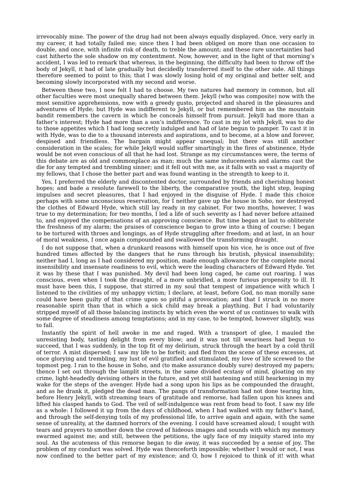irrevocably mine. The power of the drug had not been always equally displayed. Once, very early in my career, it had totally failed me; since then I had been obliged on more than one occasion to double, and once, with infinite risk of death, to treble the amount; and these rare uncertainties had cast hitherto the sole shadow on my contentment. Now, however, and in the light of that morning's accident, I was led to remark that whereas, in the beginning, the difficulty had been to throw off the body of Jekyll, it had of late gradually but decidedly transferred itself to the other side. All things therefore seemed to point to this; that I was slowly losing hold of my original and better self, and becoming slowly incorporated with my second and worse.

Between these two, I now felt I had to choose. My two natures had memory in common, but all other faculties were most unequally shared between them. Jekyll (who was composite) now with the most sensitive apprehensions, now with a greedy gusto, projected and shared in the pleasures and adventures of Hyde; but Hyde was indifferent to Jekyll, or but remembered him as the mountain bandit remembers the cavern in which he conceals himself from pursuit. Jekyll had more than a father's interest; Hyde had more than a son's indifference. To cast in my lot with Jekyll, was to die to those appetites which I had long secretly indulged and had of late begun to pamper. To cast it in with Hyde, was to die to a thousand interests and aspirations, and to become, at a blow and forever, despised and friendless. The bargain might appear unequal; but there was still another consideration in the scales; for while Jekyll would suffer smartingly in the fires of abstinence, Hyde would be not even conscious of all that he had lost. Strange as my circumstances were, the terms of this debate are as old and commonplace as man; much the same inducements and alarms cast the die for any tempted and trembling sinner; and it fell out with me, as it falls with so vast a majority of my fellows, that I chose the better part and was found wanting in the strength to keep to it.

Yes, I preferred the elderly and discontented doctor, surrounded by friends and cherishing honest hopes; and bade a resolute farewell to the liberty, the comparative youth, the light step, leaping impulses and secret pleasures, that I had enjoyed in the disguise of Hyde. I made this choice perhaps with some unconscious reservation, for I neither gave up the house in Soho, nor destroyed the clothes of Edward Hyde, which still lay ready in my cabinet. For two months, however, I was true to my determination; for two months, I led a life of such severity as I had never before attained to, and enjoyed the compensations of an approving conscience. But time began at last to obliterate the freshness of my alarm; the praises of conscience began to grow into a thing of course; I began to be tortured with throes and longings, as of Hyde struggling after freedom; and at last, in an hour of moral weakness, I once again compounded and swallowed the transforming draught.

I do not suppose that, when a drunkard reasons with himself upon his vice, he is once out of five hundred times affected by the dangers that he runs through his brutish, physical insensibility; neither had I, long as I had considered my position, made enough allowance for the complete moral insensibility and insensate readiness to evil, which were the leading characters of Edward Hyde. Yet it was by these that I was punished. My devil had been long caged, he came out roaring. I was conscious, even when I took the draught, of a more unbridled, a more furious propensity to ill. It must have been this, I suppose, that stirred in my soul that tempest of impatience with which I listened to the civilities of my unhappy victim; I declare, at least, before God, no man morally sane could have been guilty of that crime upon so pitiful a provocation; and that I struck in no more reasonable spirit than that in which a sick child may break a plaything. But I had voluntarily stripped myself of all those balancing instincts by which even the worst of us continues to walk with some degree of steadiness among temptations; and in my case, to be tempted, however slightly, was to fall.

Instantly the spirit of hell awoke in me and raged. With a transport of glee, I mauled the unresisting body, tasting delight from every blow; and it was not till weariness had begun to succeed, that I was suddenly, in the top fit of my delirium, struck through the heart by a cold thrill of terror. A mist dispersed; I saw my life to be forfeit; and fled from the scene of these excesses, at once glorying and trembling, my lust of evil gratified and stimulated, my love of life screwed to the topmost peg. I ran to the house in Soho, and (to make assurance doubly sure) destroyed my papers; thence I set out through the lamplit streets, in the same divided ecstasy of mind, gloating on my crime, light-headedly devising others in the future, and yet still hastening and still hearkening in my wake for the steps of the avenger. Hyde had a song upon his lips as he compounded the draught, and as he drank it, pledged the dead man. The pangs of transformation had not done tearing him, before Henry Jekyll, with streaming tears of gratitude and remorse, had fallen upon his knees and lifted his clasped hands to God. The veil of self-indulgence was rent from head to foot. I saw my life as a whole: I followed it up from the days of childhood, when I had walked with my father's hand, and through the self-denying toils of my professional life, to arrive again and again, with the same sense of unreality, at the damned horrors of the evening. I could have screamed aloud; I sought with tears and prayers to smother down the crowd of hideous images and sounds with which my memory swarmed against me; and still, between the petitions, the ugly face of my iniquity stared into my soul. As the acuteness of this remorse began to die away, it was succeeded by a sense of joy. The problem of my conduct was solved. Hyde was thenceforth impossible; whether I would or not, I was now confined to the better part of my existence; and O, how I rejoiced to think of it! with what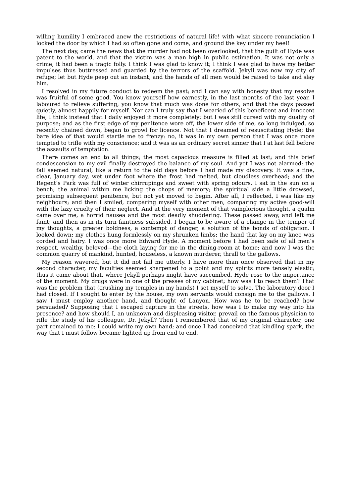willing humility I embraced anew the restrictions of natural life! with what sincere renunciation I locked the door by which I had so often gone and come, and ground the key under my heel!

The next day, came the news that the murder had not been overlooked, that the guilt of Hyde was patent to the world, and that the victim was a man high in public estimation. It was not only a crime, it had been a tragic folly. I think I was glad to know it; I think I was glad to have my better impulses thus buttressed and guarded by the terrors of the scaffold. Jekyll was now my city of refuge; let but Hyde peep out an instant, and the hands of all men would be raised to take and slay him.

I resolved in my future conduct to redeem the past; and I can say with honesty that my resolve was fruitful of some good. You know yourself how earnestly, in the last months of the last year, I laboured to relieve suffering; you know that much was done for others, and that the days passed quietly, almost happily for myself. Nor can I truly say that I wearied of this beneficent and innocent life; I think instead that I daily enjoyed it more completely; but I was still cursed with my duality of purpose; and as the first edge of my penitence wore off, the lower side of me, so long indulged, so recently chained down, began to growl for licence. Not that I dreamed of resuscitating Hyde; the bare idea of that would startle me to frenzy: no, it was in my own person that I was once more tempted to trifle with my conscience; and it was as an ordinary secret sinner that I at last fell before the assaults of temptation.

There comes an end to all things; the most capacious measure is filled at last; and this brief condescension to my evil finally destroyed the balance of my soul. And yet I was not alarmed; the fall seemed natural, like a return to the old days before I had made my discovery. It was a fine, clear, January day, wet under foot where the frost had melted, but cloudless overhead; and the Regent's Park was full of winter chirrupings and sweet with spring odours. I sat in the sun on a bench; the animal within me licking the chops of memory; the spiritual side a little drowsed, promising subsequent penitence, but not yet moved to begin. After all, I reflected, I was like my neighbours; and then I smiled, comparing myself with other men, comparing my active good-will with the lazy cruelty of their neglect. And at the very moment of that vainglorious thought, a qualm came over me, a horrid nausea and the most deadly shuddering. These passed away, and left me faint; and then as in its turn faintness subsided, I began to be aware of a change in the temper of my thoughts, a greater boldness, a contempt of danger, a solution of the bonds of obligation. I looked down; my clothes hung formlessly on my shrunken limbs; the hand that lay on my knee was corded and hairy. I was once more Edward Hyde. A moment before I had been safe of all men's respect, wealthy, beloved—the cloth laying for me in the dining-room at home; and now I was the common quarry of mankind, hunted, houseless, a known murderer, thrall to the gallows.

My reason wavered, but it did not fail me utterly. I have more than once observed that in my second character, my faculties seemed sharpened to a point and my spirits more tensely elastic; thus it came about that, where Jekyll perhaps might have succumbed, Hyde rose to the importance of the moment. My drugs were in one of the presses of my cabinet; how was I to reach them? That was the problem that (crushing my temples in my hands) I set myself to solve. The laboratory door I had closed. If I sought to enter by the house, my own servants would consign me to the gallows. I saw I must employ another hand, and thought of Lanyon. How was he to be reached? how persuaded? Supposing that I escaped capture in the streets, how was I to make my way into his presence? and how should I, an unknown and displeasing visitor, prevail on the famous physician to rifle the study of his colleague, Dr. Jekyll? Then I remembered that of my original character, one part remained to me: I could write my own hand; and once I had conceived that kindling spark, the way that I must follow became lighted up from end to end.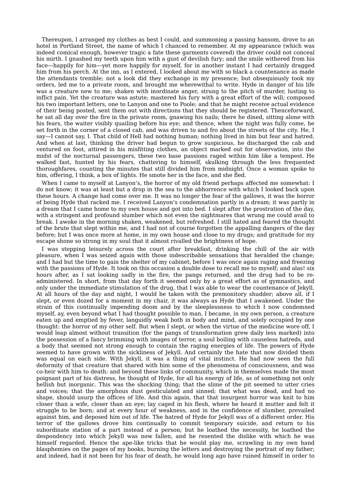Thereupon, I arranged my clothes as best I could, and summoning a passing hansom, drove to an hotel in Portland Street, the name of which I chanced to remember. At my appearance (which was indeed comical enough, however tragic a fate these garments covered) the driver could not conceal his mirth. I gnashed my teeth upon him with a gust of devilish fury; and the smile withered from his face—happily for him—yet more happily for myself, for in another instant I had certainly dragged him from his perch. At the inn, as I entered, I looked about me with so black a countenance as made the attendants tremble; not a look did they exchange in my presence; but obsequiously took my orders, led me to a private room, and brought me wherewithal to write. Hyde in danger of his life was a creature new to me; shaken with inordinate anger, strung to the pitch of murder, lusting to inflict pain. Yet the creature was astute; mastered his fury with a great effort of the will; composed his two important letters, one to Lanyon and one to Poole; and that he might receive actual evidence of their being posted, sent them out with directions that they should be registered. Thenceforward, he sat all day over the fire in the private room, gnawing his nails; there he dined, sitting alone with his fears, the waiter visibly quailing before his eye; and thence, when the night was fully come, he set forth in the corner of a closed cab, and was driven to and fro about the streets of the city. He, I say—I cannot say, I. That child of Hell had nothing human; nothing lived in him but fear and hatred. And when at last, thinking the driver had begun to grow suspicious, he discharged the cab and ventured on foot, attired in his misfitting clothes, an object marked out for observation, into the midst of the nocturnal passengers, these two base passions raged within him like a tempest. He walked fast, hunted by his fears, chattering to himself, skulking through the less frequented thoroughfares, counting the minutes that still divided him from midnight. Once a woman spoke to him, offering, I think, a box of lights. He smote her in the face, and she fled.

When I came to myself at Lanyon's, the horror of my old friend perhaps affected me somewhat: I do not know; it was at least but a drop in the sea to the abhorrence with which I looked back upon these hours. A change had come over me. It was no longer the fear of the gallows, it was the horror of being Hyde that racked me. I received Lanyon's condemnation partly in a dream; it was partly in a dream that I came home to my own house and got into bed. I slept after the prostration of the day, with a stringent and profound slumber which not even the nightmares that wrung me could avail to break. I awoke in the morning shaken, weakened, but refreshed. I still hated and feared the thought of the brute that slept within me, and I had not of course forgotten the appalling dangers of the day before; but I was once more at home, in my own house and close to my drugs; and gratitude for my escape shone so strong in my soul that it almost rivalled the brightness of hope.

I was stepping leisurely across the court after breakfast, drinking the chill of the air with pleasure, when I was seized again with those indescribable sensations that heralded the change; and I had but the time to gain the shelter of my cabinet, before I was once again raging and freezing with the passions of Hyde. It took on this occasion a double dose to recall me to myself; and alas! six hours after, as I sat looking sadly in the fire, the pangs returned, and the drug had to be readministered. In short, from that day forth it seemed only by a great effort as of gymnastics, and only under the immediate stimulation of the drug, that I was able to wear the countenance of Jekyll. At all hours of the day and night, I would be taken with the premonitory shudder; above all, if I slept, or even dozed for a moment in my chair, it was always as Hyde that I awakened. Under the strain of this continually impending doom and by the sleeplessness to which I now condemned myself, ay, even beyond what I had thought possible to man, I became, in my own person, a creature eaten up and emptied by fever, languidly weak both in body and mind, and solely occupied by one thought: the horror of my other self. But when I slept, or when the virtue of the medicine wore off, I would leap almost without transition (for the pangs of transformation grew daily less marked) into the possession of a fancy brimming with images of terror, a soul boiling with causeless hatreds, and a body that seemed not strong enough to contain the raging energies of life. The powers of Hyde seemed to have grown with the sickliness of Jekyll. And certainly the hate that now divided them was equal on each side. With Jekyll, it was a thing of vital instinct. He had now seen the full deformity of that creature that shared with him some of the phenomena of consciousness, and was co-heir with him to death: and beyond these links of community, which in themselves made the most poignant part of his distress, he thought of Hyde, for all his energy of life, as of something not only hellish but inorganic. This was the shocking thing; that the slime of the pit seemed to utter cries and voices; that the amorphous dust gesticulated and sinned; that what was dead, and had no shape, should usurp the offices of life. And this again, that that insurgent horror was knit to him closer than a wife, closer than an eye; lay caged in his flesh, where he heard it mutter and felt it struggle to be born; and at every hour of weakness, and in the confidence of slumber, prevailed against him, and deposed him out of life. The hatred of Hyde for Jekyll was of a different order. His terror of the gallows drove him continually to commit temporary suicide, and return to his subordinate station of a part instead of a person; but he loathed the necessity, he loathed the despondency into which Jekyll was now fallen, and he resented the dislike with which he was himself regarded. Hence the ape-like tricks that he would play me, scrawling in my own hand blasphemies on the pages of my books, burning the letters and destroying the portrait of my father; and indeed, had it not been for his fear of death, he would long ago have ruined himself in order to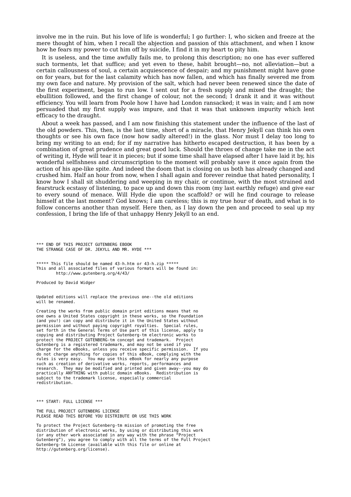involve me in the ruin. But his love of life is wonderful; I go further: I, who sicken and freeze at the mere thought of him, when I recall the abjection and passion of this attachment, and when I know how he fears my power to cut him off by suicide, I find it in my heart to pity him.

It is useless, and the time awfully fails me, to prolong this description; no one has ever suffered such torments, let that suffice; and yet even to these, habit brought—no, not alleviation—but a certain callousness of soul, a certain acquiescence of despair; and my punishment might have gone on for years, but for the last calamity which has now fallen, and which has finally severed me from my own face and nature. My provision of the salt, which had never been renewed since the date of the first experiment, began to run low. I sent out for a fresh supply and mixed the draught; the ebullition followed, and the first change of colour, not the second; I drank it and it was without efficiency. You will learn from Poole how I have had London ransacked; it was in vain; and I am now persuaded that my first supply was impure, and that it was that unknown impurity which lent efficacy to the draught.

About a week has passed, and I am now finishing this statement under the influence of the last of the old powders. This, then, is the last time, short of a miracle, that Henry Jekyll can think his own thoughts or see his own face (now how sadly altered!) in the glass. Nor must I delay too long to bring my writing to an end; for if my narrative has hitherto escaped destruction, it has been by a combination of great prudence and great good luck. Should the throes of change take me in the act of writing it, Hyde will tear it in pieces; but if some time shall have elapsed after I have laid it by, his wonderful selfishness and circumscription to the moment will probably save it once again from the action of his ape-like spite. And indeed the doom that is closing on us both has already changed and crushed him. Half an hour from now, when I shall again and forever reindue that hated personality, I know how I shall sit shuddering and weeping in my chair, or continue, with the most strained and fearstruck ecstasy of listening, to pace up and down this room (my last earthly refuge) and give ear to every sound of menace. Will Hyde die upon the scaffold? or will he find courage to release himself at the last moment? God knows; I am careless; this is my true hour of death, and what is to follow concerns another than myself. Here then, as I lay down the pen and proceed to seal up my confession, I bring the life of that unhappy Henry Jekyll to an end.

\*\*\* END OF THIS PROJECT GUTENBERG EBOOK THE STRANGE CASE OF DR. JEKYLL AND MR. HYDE \*\*\*

\*\*\*\*\* This file should be named 43-h.htm or 43-h.zip \*\*\*\*\* This and all associated files of various formats will be found in: http://www.gutenberg.org/4/43/

Produced by David Widger

Updated editions will replace the previous one--the old editions will be renamed.

Creating the works from public domain print editions means that no one owns a United States copyright in these works, so the Foundation (and you!) can copy and distribute it in the United States without permission and without paying copyright royalties. Special rules, set forth in the General Terms of Use part of this license, apply to copying and distributing Project Gutenberg-tm electronic works to protect the PROJECT GUTENBERG-tm concept and trademark. Project Gutenberg is a registered trademark, and may not be used if you charge for the eBooks, unless you receive specific permission. If you do not charge anything for copies of this eBook, complying with the rules is very easy. You may use this eBook for nearly any purpose such as creation of derivative works, reports, performances and research. They may be modified and printed and given away--you may do practically ANYTHING with public domain eBooks. Redistribution is subject to the trademark license, especially commercial redistribution.

\*\*\* START: FULL LICENSE \*\*\*

THE FULL PROJECT GUTENBERG LICENSE PLEASE READ THIS BEFORE YOU DISTRIBUTE OR USE THIS WORK

To protect the Project Gutenberg-tm mission of promoting the free distribution of electronic works, by using or distributing this work (or any other work associated in any way with the phrase "Project Gutenberg"), you agree to comply with all the terms of the Full Project Gutenberg-tm License (available with this file or online at http://gutenberg.org/license).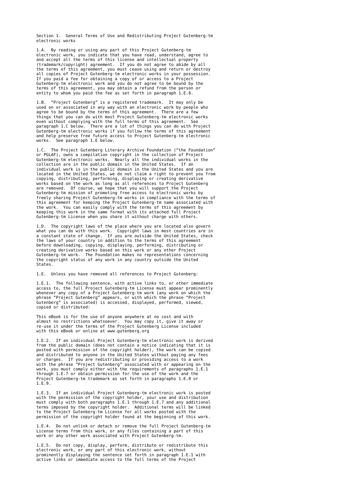Section 1. General Terms of Use and Redistributing Project Gutenberg-tm electronic works

1.A. By reading or using any part of this Project Gutenberg-tm electronic work, you indicate that you have read, understand, agree to and accept all the terms of this license and intellectual property (trademark/copyright) agreement. If you do not agree to abide by all the terms of this agreement, you must cease using and return or destroy all copies of Project Gutenberg-tm electronic works in your possession. If you paid a fee for obtaining a copy of or access to a Project Gutenberg-tm electronic work and you do not agree to be bound by the terms of this agreement, you may obtain a refund from the person or entity to whom you paid the fee as set forth in paragraph 1.E.8.

1.B. "Project Gutenberg" is a registered trademark. It may only be used on or associated in any way with an electronic work by people who agree to be bound by the terms of this agreement. There are a few things that you can do with most Project Gutenberg-tm electronic works even without complying with the full terms of this agreement. See paragraph 1.C below. There are a lot of things you can do with Project Gutenberg-tm electronic works if you follow the terms of this agreement and help preserve free future access to Project Gutenberg-tm electronic works. See paragraph 1.E below.

1.C. The Project Gutenberg Literary Archive Foundation ("the Foundation" or PGLAF), owns a compilation copyright in the collection of Project Gutenberg-tm electronic works. Nearly all the individual works in the collection are in the public domain in the United States. If an individual work is in the public domain in the United States and you are located in the United States, we do not claim a right to prevent you from copying, distributing, performing, displaying or creating derivative works based on the work as long as all references to Project Gutenberg are removed. Of course, we hope that you will support the Project Gutenberg-tm mission of promoting free access to electronic works by freely sharing Project Gutenberg-tm works in compliance with the terms of this agreement for keeping the Project Gutenberg-tm name associated with the work. You can easily comply with the terms of this agreement by keeping this work in the same format with its attached full Project Gutenberg-tm License when you share it without charge with others.

1.D. The copyright laws of the place where you are located also govern what you can do with this work. Copyright laws in most countries are in a constant state of change. If you are outside the United States, check the laws of your country in addition to the terms of this agreement before downloading, copying, displaying, performing, distributing or creating derivative works based on this work or any other Project Gutenberg-tm work. The Foundation makes no representations concerning the copyright status of any work in any country outside the United States.

1.E. Unless you have removed all references to Project Gutenberg:

1.E.1. The following sentence, with active links to, or other immediate access to, the full Project Gutenberg-tm License must appear prominently whenever any copy of a Project Gutenberg-tm work (any work on which the phrase "Project Gutenberg" appears, or with which the phrase "Project Gutenberg" is associated) is accessed, displayed, performed, viewed, copied or distributed:

This eBook is for the use of anyone anywhere at no cost and with almost no restrictions whatsoever. You may copy it, give it away or re-use it under the terms of the Project Gutenberg License included with this eBook or online at www.gutenberg.org

1.E.2. If an individual Project Gutenberg-tm electronic work is derived from the public domain (does not contain a notice indicating that it is posted with permission of the copyright holder), the work can be copied and distributed to anyone in the United States without paying any fees or charges. If you are redistributing or providing access to a work with the phrase "Project Gutenberg" associated with or appearing on the work, you must comply either with the requirements of paragraphs 1.E.1 through 1.E.7 or obtain permission for the use of the work and the Project Gutenberg-tm trademark as set forth in paragraphs 1.E.8 or 1.E.9.

1.E.3. If an individual Project Gutenberg-tm electronic work is posted with the permission of the copyright holder, your use and distribution must comply with both paragraphs 1.E.1 through 1.E.7 and any additional terms imposed by the copyright holder. Additional terms will be linked to the Project Gutenberg-tm License for all works posted with the permission of the copyright holder found at the beginning of this work.

1.E.4. Do not unlink or detach or remove the full Project Gutenberg-tm License terms from this work, or any files containing a part of this work or any other work associated with Project Gutenberg-tm.

1.E.5. Do not copy, display, perform, distribute or redistribute this electronic work, or any part of this electronic work, without prominently displaying the sentence set forth in paragraph 1.E.1 with active links or immediate access to the full terms of the Project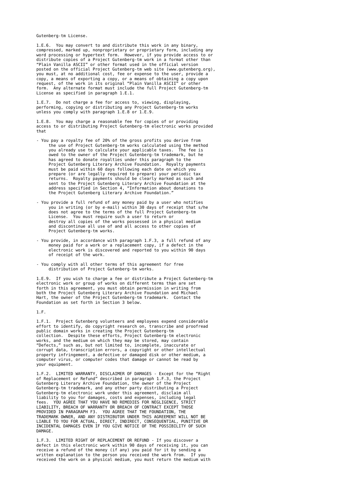Gutenberg-tm License.

1.E.6. You may convert to and distribute this work in any binary, compressed, marked up, nonproprietary or proprietary form, including any word processing or hypertext form. However, if you provide access to or distribute copies of a Project Gutenberg-tm work in a format other than "Plain Vanilla ASCII" or other format used in the official version posted on the official Project Gutenberg-tm web site (www.gutenberg.org), you must, at no additional cost, fee or expense to the user, provide a copy, a means of exporting a copy, or a means of obtaining a copy upon request, of the work in its original "Plain Vanilla ASCII" or other form. Any alternate format must include the full Project Gutenberg-tm License as specified in paragraph 1.E.1.

1.E.7. Do not charge a fee for access to, viewing, displaying, performing, copying or distributing any Project Gutenberg-tm works unless you comply with paragraph 1.E.8 or 1.E.9.

1.E.8. You may charge a reasonable fee for copies of or providing access to or distributing Project Gutenberg-tm electronic works provided that

- You pay a royalty fee of 20% of the gross profits you derive from the use of Project Gutenberg-tm works calculated using the method you already use to calculate your applicable taxes. The fee is owed to the owner of the Project Gutenberg-tm trademark, but he has agreed to donate royalties under this paragraph to the Project Gutenberg Literary Archive Foundation. Royalty payments must be paid within 60 days following each date on which you prepare (or are legally required to prepare) your periodic tax returns. Royalty payments should be clearly marked as such and sent to the Project Gutenberg Literary Archive Foundation at the address specified in Section 4, "Information about donations to the Project Gutenberg Literary Archive Foundation."
- You provide a full refund of any money paid by a user who notifies you in writing (or by e-mail) within 30 days of receipt that s/he does not agree to the terms of the full Project Gutenberg-tm License. You must require such a user to return or destroy all copies of the works possessed in a physical medium and discontinue all use of and all access to other copies of Project Gutenberg-tm works.
- You provide, in accordance with paragraph 1.F.3, a full refund of any money paid for a work or a replacement copy, if a defect in the electronic work is discovered and reported to you within 90 days of receipt of the work.
- You comply with all other terms of this agreement for free distribution of Project Gutenberg-tm works.

1.E.9. If you wish to charge a fee or distribute a Project Gutenberg-tm electronic work or group of works on different terms than are set forth in this agreement, you must obtain permission in writing from both the Project Gutenberg Literary Archive Foundation and Michael Hart, the owner of the Project Gutenberg-tm trademark. Contact the Foundation as set forth in Section 3 below.

1.F.

1.F.1. Project Gutenberg volunteers and employees expend considerable effort to identify, do copyright research on, transcribe and proofread public domain works in creating the Project Gutenberg-tm collection. Despite these efforts, Project Gutenberg-tm electronic works, and the medium on which they may be stored, may contain "Defects," such as, but not limited to, incomplete, inaccurate or corrupt data, transcription errors, a copyright or other intellectual property infringement, a defective or damaged disk or other medium, a computer virus, or computer codes that damage or cannot be read by your equipment.

1.F.2. LIMITED WARRANTY, DISCLAIMER OF DAMAGES - Except for the "Right of Replacement or Refund" described in paragraph 1.F.3, the Project Gutenberg Literary Archive Foundation, the owner of the Project Gutenberg-tm trademark, and any other party distributing a Project Gutenberg-tm electronic work under this agreement, disclaim all liability to you for damages, costs and expenses, including legal fees. YOU AGREE THAT YOU HAVE NO REMEDIES FOR NEGLIGENCE, STRICT LIABILITY, BREACH OF WARRANTY OR BREACH OF CONTRACT EXCEPT THOSE PROVIDED IN PARAGRAPH F3. YOU AGREE THAT THE FOUNDATION, THE TRADEMARK OWNER, AND ANY DISTRIBUTOR UNDER THIS AGREEMENT WILL NOT BE LIABLE TO YOU FOR ACTUAL, DIRECT, INDIRECT, CONSEQUENTIAL, PUNITIVE OR INCIDENTAL DAMAGES EVEN IF YOU GIVE NOTICE OF THE POSSIBILITY OF SUCH DAMAGE.

1.F.3. LIMITED RIGHT OF REPLACEMENT OR REFUND - If you discover a defect in this electronic work within 90 days of receiving it, you can receive a refund of the money (if any) you paid for it by sending a written explanation to the person you received the work from. If you received the work on a physical medium, you must return the medium with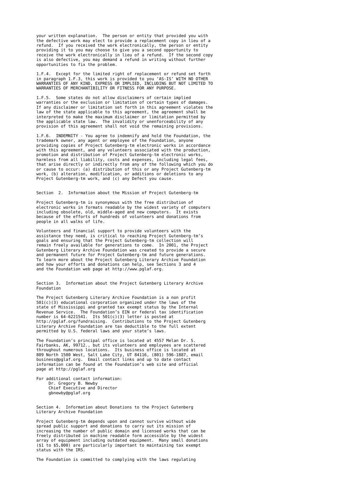your written explanation. The person or entity that provided you with the defective work may elect to provide a replacement copy in lieu of a refund. If you received the work electronically, the person or entity providing it to you may choose to give you a second opportunity to receive the work electronically in lieu of a refund. If the second copy is also defective, you may demand a refund in writing without further opportunities to fix the problem.

1.F.4. Except for the limited right of replacement or refund set forth in paragraph 1.F.3, this work is provided to you 'AS-IS' WITH NO OTHER WARRANTIES OF ANY KIND, EXPRESS OR IMPLIED, INCLUDING BUT NOT LIMITED TO WARRANTIES OF MERCHANTIBILITY OR FITNESS FOR ANY PURPOSE.

1.F.5. Some states do not allow disclaimers of certain implied warranties or the exclusion or limitation of certain types of damages. If any disclaimer or limitation set forth in this agreement violates the law of the state applicable to this agreement, the agreement shall be interpreted to make the maximum disclaimer or limitation permitted by the applicable state law. The invalidity or unenforceability of any provision of this agreement shall not void the remaining provisions.

1.F.6. INDEMNITY - You agree to indemnify and hold the Foundation, the trademark owner, any agent or employee of the Foundation, anyone providing copies of Project Gutenberg-tm electronic works in accordance with this agreement, and any volunteers associated with the production, promotion and distribution of Project Gutenberg-tm electronic works, harmless from all liability, costs and expenses, including legal fees, that arise directly or indirectly from any of the following which you do or cause to occur: (a) distribution of this or any Project Gutenberg-tm work, (b) alteration, modification, or additions or deletions to any Project Gutenberg-tm work, and (c) any Defect you cause.

Section 2. Information about the Mission of Project Gutenberg-tm

Project Gutenberg-tm is synonymous with the free distribution of electronic works in formats readable by the widest variety of computers including obsolete, old, middle-aged and new computers. It exists because of the efforts of hundreds of volunteers and donations from people in all walks of life.

Volunteers and financial support to provide volunteers with the assistance they need, is critical to reaching Project Gutenberg-tm's goals and ensuring that the Project Gutenberg-tm collection will remain freely available for generations to come. In 2001, the Project Gutenberg Literary Archive Foundation was created to provide a secure and permanent future for Project Gutenberg-tm and future generations. To learn more about the Project Gutenberg Literary Archive Foundation and how your efforts and donations can help, see Sections 3 and 4 and the Foundation web page at http://www.pglaf.org.

Section 3. Information about the Project Gutenberg Literary Archive Foundation

The Project Gutenberg Literary Archive Foundation is a non profit 501(c)(3) educational corporation organized under the laws of the state of Mississippi and granted tax exempt status by the Internal Revenue Service. The Foundation's EIN or federal tax identification number is 64-6221541. Its 501(c)(3) letter is posted at http://pglaf.org/fundraising. Contributions to the Project Gutenberg Literary Archive Foundation are tax deductible to the full extent permitted by U.S. federal laws and your state's laws.

The Foundation's principal office is located at 4557 Melan Dr. S. Fairbanks, AK, 99712., but its volunteers and employees are scattered throughout numerous locations. Its business office is located at 809 North 1500 West, Salt Lake City, UT 84116, (801) 596-1887, email business@pglaf.org. Email contact links and up to date contact information can be found at the Foundation's web site and official page at http://pglaf.org

For additional contact information: Dr. Gregory B. Newby Chief Executive and Director gbnewby@pglaf.org

Section 4. Information about Donations to the Project Gutenberg Literary Archive Foundation

Project Gutenberg-tm depends upon and cannot survive without wide spread public support and donations to carry out its mission of increasing the number of public domain and licensed works that can be freely distributed in machine readable form accessible by the widest array of equipment including outdated equipment. Many small donations (\$1 to \$5,000) are particularly important to maintaining tax exempt status with the IRS.

The Foundation is committed to complying with the laws regulating